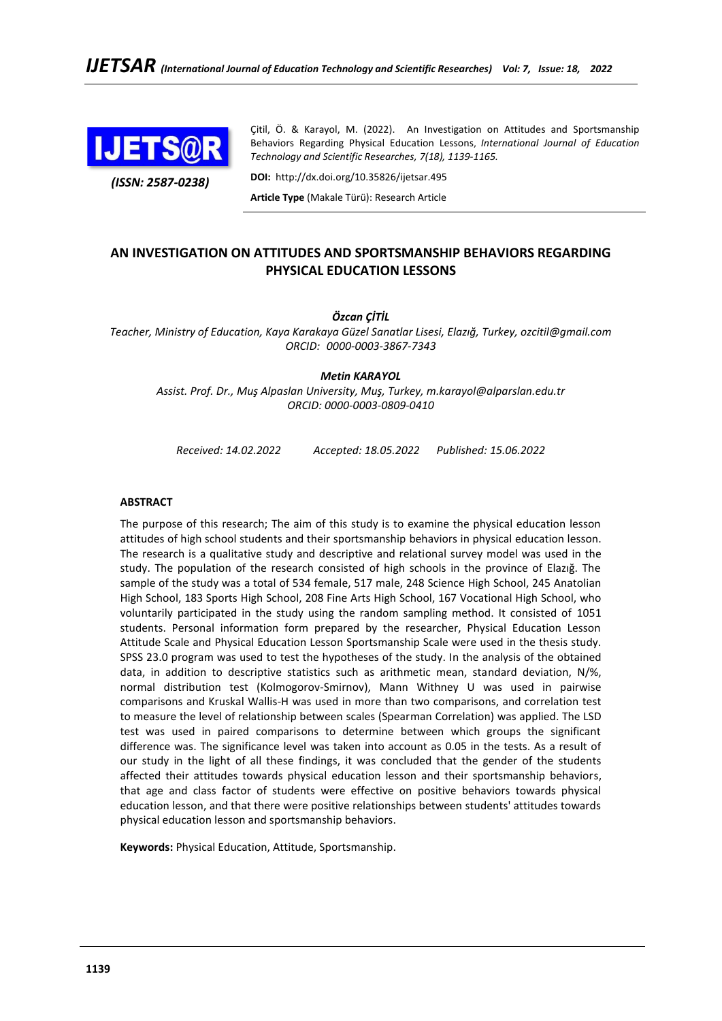

*(ISSN: 2587-0238)*

Çitil, Ö. & Karayol, M. (2022). An Investigation on Attitudes and Sportsmanship Behaviors Regarding Physical Education Lessons, *International Journal of Education Technology and Scientific Researches, 7(18), 1139-1165.*

**DOI:** http://dx.doi.org/10.35826/ijetsar.495

**Article Type** (Makale Türü): Research Article

## **AN INVESTIGATION ON ATTITUDES AND SPORTSMANSHIP BEHAVIORS REGARDING PHYSICAL EDUCATION LESSONS**

*Özcan ÇİTİL*

*Teacher, Ministry of Education, Kaya Karakaya Güzel Sanatlar Lisesi, Elazığ, Turkey, ozcitil@gmail.com ORCID: 0000-0003-3867-7343*

*Metin KARAYOL*

*Assist. Prof. Dr., Muş Alpaslan University, Muş, Turkey, m.karayol@alparslan.edu.tr ORCID: [0000-0003-0809-0410](https://orcid.org/0000-0003-0809-0410)*

*Received: 14.02.2022 Accepted: 18.05.2022 Published: 15.06.2022*

### **ABSTRACT**

The purpose of this research; The aim of this study is to examine the physical education lesson attitudes of high school students and their sportsmanship behaviors in physical education lesson. The research is a qualitative study and descriptive and relational survey model was used in the study. The population of the research consisted of high schools in the province of Elazığ. The sample of the study was a total of 534 female, 517 male, 248 Science High School, 245 Anatolian High School, 183 Sports High School, 208 Fine Arts High School, 167 Vocational High School, who voluntarily participated in the study using the random sampling method. It consisted of 1051 students. Personal information form prepared by the researcher, Physical Education Lesson Attitude Scale and Physical Education Lesson Sportsmanship Scale were used in the thesis study. SPSS 23.0 program was used to test the hypotheses of the study. In the analysis of the obtained data, in addition to descriptive statistics such as arithmetic mean, standard deviation, N/%, normal distribution test (Kolmogorov-Smirnov), Mann Withney U was used in pairwise comparisons and Kruskal Wallis-H was used in more than two comparisons, and correlation test to measure the level of relationship between scales (Spearman Correlation) was applied. The LSD test was used in paired comparisons to determine between which groups the significant difference was. The significance level was taken into account as 0.05 in the tests. As a result of our study in the light of all these findings, it was concluded that the gender of the students affected their attitudes towards physical education lesson and their sportsmanship behaviors, that age and class factor of students were effective on positive behaviors towards physical education lesson, and that there were positive relationships between students' attitudes towards physical education lesson and sportsmanship behaviors.

**Keywords:** Physical Education, Attitude, Sportsmanship.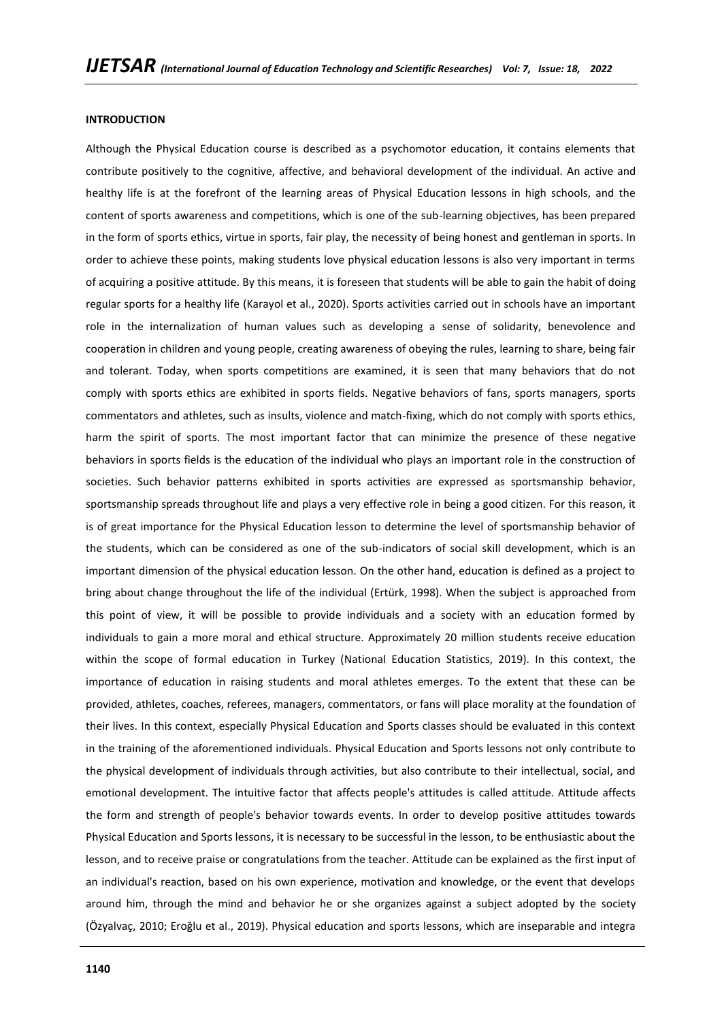### **INTRODUCTION**

Although the Physical Education course is described as a psychomotor education, it contains elements that contribute positively to the cognitive, affective, and behavioral development of the individual. An active and healthy life is at the forefront of the learning areas of Physical Education lessons in high schools, and the content of sports awareness and competitions, which is one of the sub-learning objectives, has been prepared in the form of sports ethics, virtue in sports, fair play, the necessity of being honest and gentleman in sports. In order to achieve these points, making students love physical education lessons is also very important in terms of acquiring a positive attitude. By this means, it is foreseen that students will be able to gain the habit of doing regular sports for a healthy life (Karayol et al., 2020). Sports activities carried out in schools have an important role in the internalization of human values such as developing a sense of solidarity, benevolence and cooperation in children and young people, creating awareness of obeying the rules, learning to share, being fair and tolerant. Today, when sports competitions are examined, it is seen that many behaviors that do not comply with sports ethics are exhibited in sports fields. Negative behaviors of fans, sports managers, sports commentators and athletes, such as insults, violence and match-fixing, which do not comply with sports ethics, harm the spirit of sports. The most important factor that can minimize the presence of these negative behaviors in sports fields is the education of the individual who plays an important role in the construction of societies. Such behavior patterns exhibited in sports activities are expressed as sportsmanship behavior, sportsmanship spreads throughout life and plays a very effective role in being a good citizen. For this reason, it is of great importance for the Physical Education lesson to determine the level of sportsmanship behavior of the students, which can be considered as one of the sub-indicators of social skill development, which is an important dimension of the physical education lesson. On the other hand, education is defined as a project to bring about change throughout the life of the individual (Ertürk, 1998). When the subject is approached from this point of view, it will be possible to provide individuals and a society with an education formed by individuals to gain a more moral and ethical structure. Approximately 20 million students receive education within the scope of formal education in Turkey (National Education Statistics, 2019). In this context, the importance of education in raising students and moral athletes emerges. To the extent that these can be provided, athletes, coaches, referees, managers, commentators, or fans will place morality at the foundation of their lives. In this context, especially Physical Education and Sports classes should be evaluated in this context in the training of the aforementioned individuals. Physical Education and Sports lessons not only contribute to the physical development of individuals through activities, but also contribute to their intellectual, social, and emotional development. The intuitive factor that affects people's attitudes is called attitude. Attitude affects the form and strength of people's behavior towards events. In order to develop positive attitudes towards Physical Education and Sports lessons, it is necessary to be successful in the lesson, to be enthusiastic about the lesson, and to receive praise or congratulations from the teacher. Attitude can be explained as the first input of an individual's reaction, based on his own experience, motivation and knowledge, or the event that develops around him, through the mind and behavior he or she organizes against a subject adopted by the society (Özyalvaç, 2010; Eroğlu et al., 2019). Physical education and sports lessons, which are inseparable and integra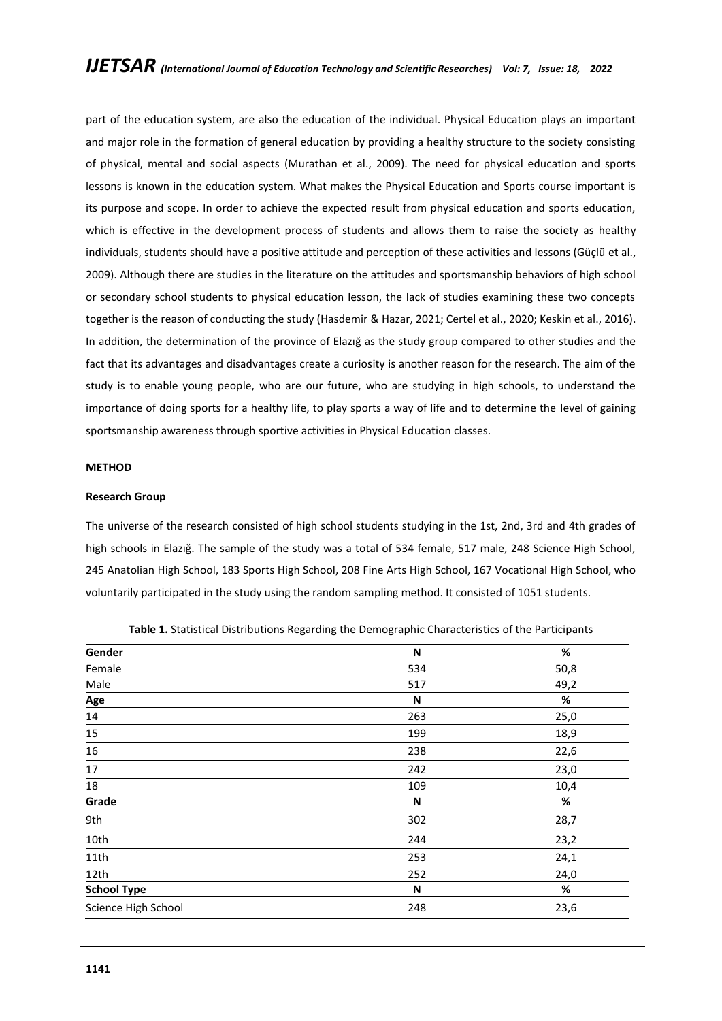part of the education system, are also the education of the individual. Physical Education plays an important and major role in the formation of general education by providing a healthy structure to the society consisting of physical, mental and social aspects (Murathan et al., 2009). The need for physical education and sports lessons is known in the education system. What makes the Physical Education and Sports course important is its purpose and scope. In order to achieve the expected result from physical education and sports education, which is effective in the development process of students and allows them to raise the society as healthy individuals, students should have a positive attitude and perception of these activities and lessons (Güçlü et al., 2009). Although there are studies in the literature on the attitudes and sportsmanship behaviors of high school or secondary school students to physical education lesson, the lack of studies examining these two concepts together is the reason of conducting the study (Hasdemir & Hazar, 2021; Certel et al., 2020; Keskin et al., 2016). In addition, the determination of the province of Elazığ as the study group compared to other studies and the fact that its advantages and disadvantages create a curiosity is another reason for the research. The aim of the study is to enable young people, who are our future, who are studying in high schools, to understand the importance of doing sports for a healthy life, to play sports a way of life and to determine the level of gaining sportsmanship awareness through sportive activities in Physical Education classes.

## **METHOD**

## **Research Group**

The universe of the research consisted of high school students studying in the 1st, 2nd, 3rd and 4th grades of high schools in Elazığ. The sample of the study was a total of 534 female, 517 male, 248 Science High School, 245 Anatolian High School, 183 Sports High School, 208 Fine Arts High School, 167 Vocational High School, who voluntarily participated in the study using the random sampling method. It consisted of 1051 students.

| Gender              | N   | %    |
|---------------------|-----|------|
| Female              | 534 | 50,8 |
| Male                | 517 | 49,2 |
| Age                 | N   | %    |
| 14                  | 263 | 25,0 |
| 15                  | 199 | 18,9 |
| 16                  | 238 | 22,6 |
| 17                  | 242 | 23,0 |
| 18                  | 109 | 10,4 |
| Grade               | N   | %    |
| 9th                 | 302 | 28,7 |
| 10th                | 244 | 23,2 |
| 11th                | 253 | 24,1 |
| 12th                | 252 | 24,0 |
| <b>School Type</b>  | N   | %    |
| Science High School | 248 | 23,6 |

**Table 1.** Statistical Distributions Regarding the Demographic Characteristics of the Participants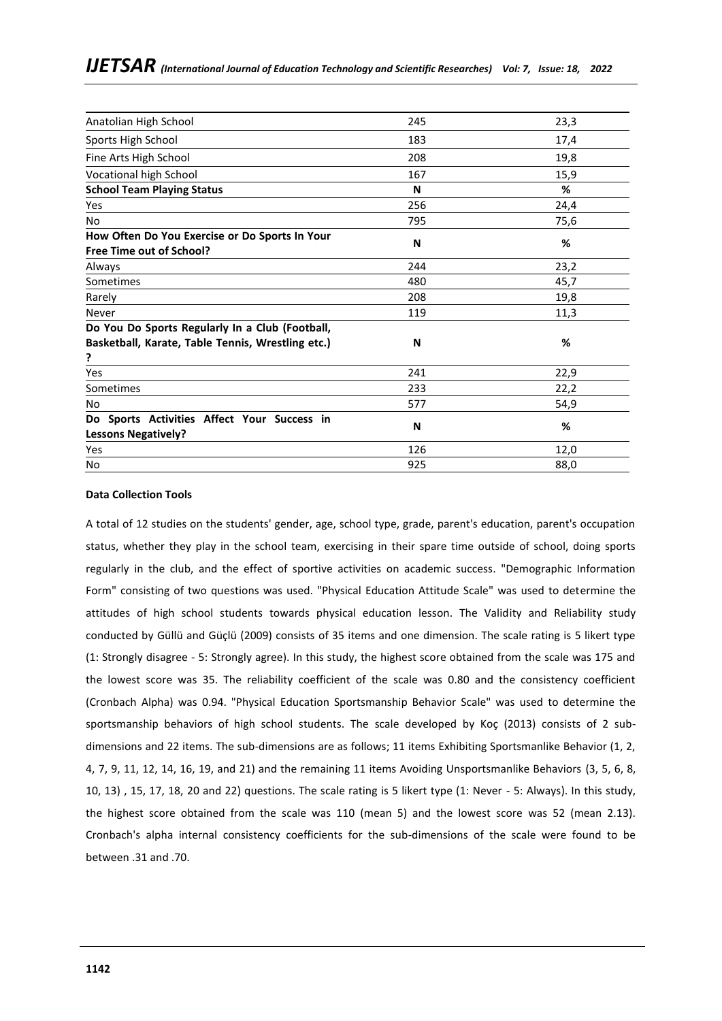| Anatolian High School                                                             | 245 | 23,3 |
|-----------------------------------------------------------------------------------|-----|------|
| Sports High School                                                                | 183 | 17,4 |
| Fine Arts High School                                                             | 208 | 19,8 |
| Vocational high School                                                            | 167 | 15,9 |
| <b>School Team Playing Status</b>                                                 | N   | %    |
| Yes                                                                               | 256 | 24,4 |
| No                                                                                | 795 | 75,6 |
| How Often Do You Exercise or Do Sports In Your<br><b>Free Time out of School?</b> | N   | %    |
| Always                                                                            | 244 | 23,2 |
| Sometimes                                                                         | 480 | 45,7 |
| Rarely                                                                            | 208 | 19,8 |
| Never                                                                             | 119 | 11,3 |
| Do You Do Sports Regularly In a Club (Football,                                   |     |      |
| Basketball, Karate, Table Tennis, Wrestling etc.)<br>?                            | N   | %    |
| Yes                                                                               | 241 | 22,9 |
| Sometimes                                                                         | 233 | 22,2 |
| No                                                                                | 577 | 54,9 |
| Do Sports Activities Affect Your Success in<br><b>Lessons Negatively?</b>         | N   | %    |
| Yes                                                                               | 126 | 12,0 |
| No                                                                                | 925 | 88,0 |

## **Data Collection Tools**

A total of 12 studies on the students' gender, age, school type, grade, parent's education, parent's occupation status, whether they play in the school team, exercising in their spare time outside of school, doing sports regularly in the club, and the effect of sportive activities on academic success. "Demographic Information Form" consisting of two questions was used. "Physical Education Attitude Scale" was used to determine the attitudes of high school students towards physical education lesson. The Validity and Reliability study conducted by Güllü and Güçlü (2009) consists of 35 items and one dimension. The scale rating is 5 likert type (1: Strongly disagree - 5: Strongly agree). In this study, the highest score obtained from the scale was 175 and the lowest score was 35. The reliability coefficient of the scale was 0.80 and the consistency coefficient (Cronbach Alpha) was 0.94. "Physical Education Sportsmanship Behavior Scale" was used to determine the sportsmanship behaviors of high school students. The scale developed by Koç (2013) consists of 2 subdimensions and 22 items. The sub-dimensions are as follows; 11 items Exhibiting Sportsmanlike Behavior (1, 2, 4, 7, 9, 11, 12, 14, 16, 19, and 21) and the remaining 11 items Avoiding Unsportsmanlike Behaviors (3, 5, 6, 8, 10, 13) , 15, 17, 18, 20 and 22) questions. The scale rating is 5 likert type (1: Never - 5: Always). In this study, the highest score obtained from the scale was 110 (mean 5) and the lowest score was 52 (mean 2.13). Cronbach's alpha internal consistency coefficients for the sub-dimensions of the scale were found to be between .31 and .70.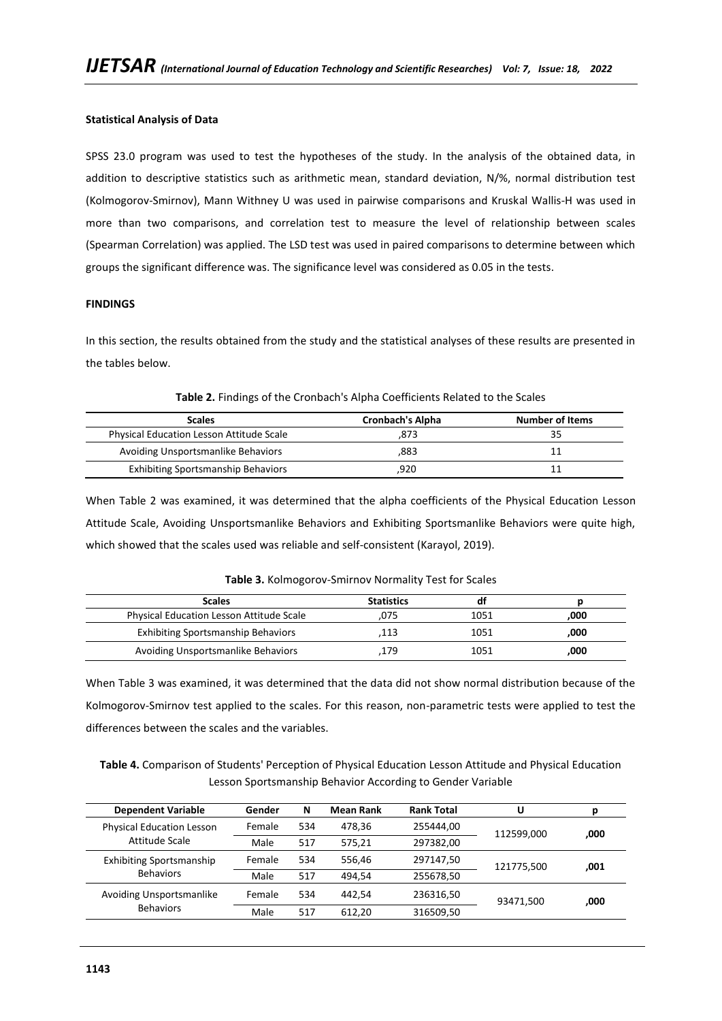## **Statistical Analysis of Data**

SPSS 23.0 program was used to test the hypotheses of the study. In the analysis of the obtained data, in addition to descriptive statistics such as arithmetic mean, standard deviation, N/%, normal distribution test (Kolmogorov-Smirnov), Mann Withney U was used in pairwise comparisons and Kruskal Wallis-H was used in more than two comparisons, and correlation test to measure the level of relationship between scales (Spearman Correlation) was applied. The LSD test was used in paired comparisons to determine between which groups the significant difference was. The significance level was considered as 0.05 in the tests.

## **FINDINGS**

In this section, the results obtained from the study and the statistical analyses of these results are presented in the tables below.

| <b>Scales</b>                                   | <b>Cronbach's Alpha</b> | <b>Number of Items</b> |
|-------------------------------------------------|-------------------------|------------------------|
| <b>Physical Education Lesson Attitude Scale</b> | .873                    |                        |
| Avoiding Unsportsmanlike Behaviors              | ,883                    |                        |
| <b>Exhibiting Sportsmanship Behaviors</b>       | .920                    |                        |

**Table 2.** Findings of the Cronbach's Alpha Coefficients Related to the Scales

When Table 2 was examined, it was determined that the alpha coefficients of the Physical Education Lesson Attitude Scale, Avoiding Unsportsmanlike Behaviors and Exhibiting Sportsmanlike Behaviors were quite high, which showed that the scales used was reliable and self-consistent (Karayol, 2019).

| <b>Scales</b>                             | <b>Statistics</b> |      |      |
|-------------------------------------------|-------------------|------|------|
| Physical Education Lesson Attitude Scale  | .075              | 1051 | .000 |
| <b>Exhibiting Sportsmanship Behaviors</b> | 113               | 1051 | ,000 |
| Avoiding Unsportsmanlike Behaviors        | 179               | 1051 | ,000 |

When Table 3 was examined, it was determined that the data did not show normal distribution because of the Kolmogorov-Smirnov test applied to the scales. For this reason, non-parametric tests were applied to test the differences between the scales and the variables.

**Table 4.** Comparison of Students' Perception of Physical Education Lesson Attitude and Physical Education Lesson Sportsmanship Behavior According to Gender Variable

| <b>Dependent Variable</b>        | Gender | N   | <b>Mean Rank</b> | <b>Rank Total</b> | U          | р    |
|----------------------------------|--------|-----|------------------|-------------------|------------|------|
| <b>Physical Education Lesson</b> | Female | 534 | 478.36           | 255444,00         | 112599.000 | .000 |
| Attitude Scale                   | Male   | 517 | 575.21           | 297382,00         |            |      |
| <b>Exhibiting Sportsmanship</b>  | Female | 534 | 556.46           | 297147,50         | 121775,500 | ,001 |
| <b>Behaviors</b>                 | Male   | 517 | 494.54           | 255678,50         |            |      |
| Avoiding Unsportsmanlike         | Female | 534 | 442.54           | 236316,50         | 93471.500  | .000 |
| <b>Behaviors</b>                 | Male   | 517 | 612.20           | 316509,50         |            |      |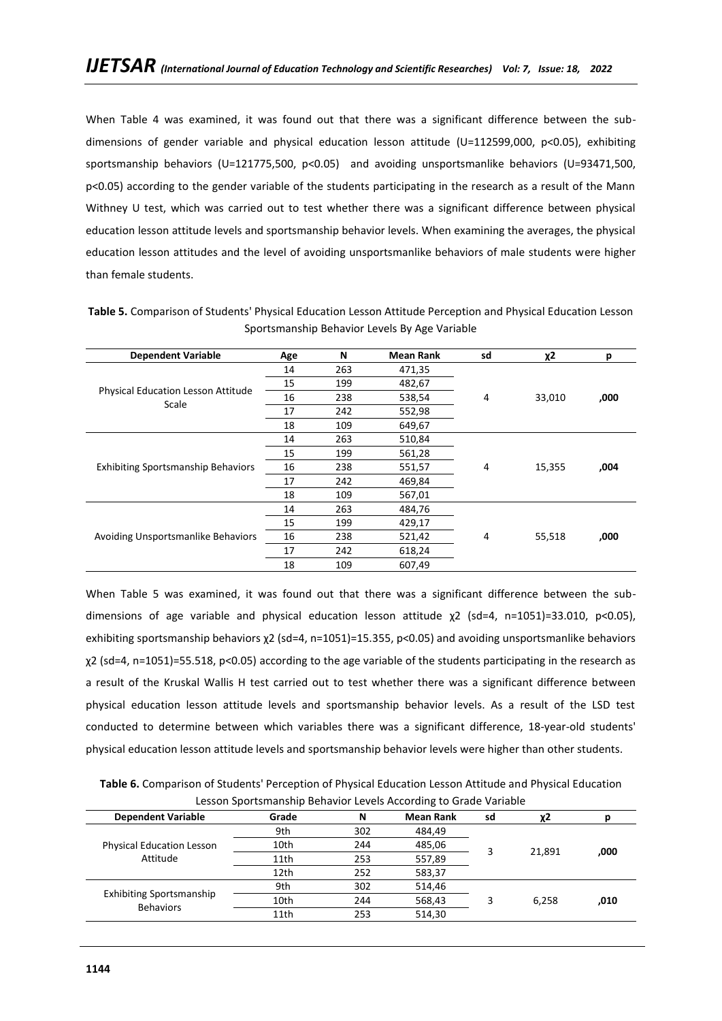When Table 4 was examined, it was found out that there was a significant difference between the subdimensions of gender variable and physical education lesson attitude (U=112599,000, p<0.05), exhibiting sportsmanship behaviors (U=121775,500, p<0.05) and avoiding unsportsmanlike behaviors (U=93471,500, p<0.05) according to the gender variable of the students participating in the research as a result of the Mann Withney U test, which was carried out to test whether there was a significant difference between physical education lesson attitude levels and sportsmanship behavior levels. When examining the averages, the physical education lesson attitudes and the level of avoiding unsportsmanlike behaviors of male students were higher than female students.

| <b>Dependent Variable</b>                   | Age | N   | <b>Mean Rank</b> | sd | $\chi$ 2 | р    |
|---------------------------------------------|-----|-----|------------------|----|----------|------|
|                                             | 14  | 263 | 471,35           |    |          |      |
|                                             | 15  | 199 | 482,67           |    |          |      |
| Physical Education Lesson Attitude<br>Scale | 16  | 238 | 538,54           | 4  | 33,010   | ,000 |
|                                             | 17  | 242 | 552,98           |    |          |      |
|                                             | 18  | 109 | 649,67           |    |          |      |
|                                             | 14  | 263 | 510,84           |    |          |      |
|                                             | 15  | 199 | 561,28           |    |          |      |
| <b>Exhibiting Sportsmanship Behaviors</b>   | 16  | 238 | 551,57           | 4  | 15,355   | ,004 |
|                                             | 17  | 242 | 469,84           |    |          |      |
|                                             | 18  | 109 | 567,01           |    |          |      |
|                                             | 14  | 263 | 484,76           |    |          |      |
| Avoiding Unsportsmanlike Behaviors          | 15  | 199 | 429,17           |    |          |      |
|                                             | 16  | 238 | 521,42           | 4  | 55,518   | ,000 |
|                                             | 17  | 242 | 618,24           |    |          |      |
|                                             | 18  | 109 | 607,49           |    |          |      |

**Table 5.** Comparison of Students' Physical Education Lesson Attitude Perception and Physical Education Lesson Sportsmanship Behavior Levels By Age Variable

When Table 5 was examined, it was found out that there was a significant difference between the subdimensions of age variable and physical education lesson attitude χ2 (sd=4, n=1051)=33.010, p<0.05), exhibiting sportsmanship behaviors χ2 (sd=4, n=1051)=15.355, p<0.05) and avoiding unsportsmanlike behaviors χ2 (sd=4, n=1051)=55.518, p<0.05) according to the age variable of the students participating in the research as a result of the Kruskal Wallis H test carried out to test whether there was a significant difference between physical education lesson attitude levels and sportsmanship behavior levels. As a result of the LSD test conducted to determine between which variables there was a significant difference, 18-year-old students' physical education lesson attitude levels and sportsmanship behavior levels were higher than other students.

**Table 6.** Comparison of Students' Perception of Physical Education Lesson Attitude and Physical Education Lesson Sportsmanship Behavior Levels According to Grade Variable

| <b>Dependent Variable</b>                           | Grade | N   | <b>Mean Rank</b> | sd | χ2              |      |
|-----------------------------------------------------|-------|-----|------------------|----|-----------------|------|
|                                                     | 9th   | 302 | 484,49           |    |                 |      |
| <b>Physical Education Lesson</b>                    | 10th  | 244 | 485,06           |    |                 |      |
| Attitude                                            | 11th  | 253 | 557,89           |    | 21.891<br>6,258 | ,000 |
|                                                     | 12th  | 252 | 583,37           |    |                 |      |
|                                                     | 9th   | 302 | 514,46           |    |                 | ,010 |
| <b>Exhibiting Sportsmanship</b><br><b>Behaviors</b> | 10th  | 244 | 568,43           |    |                 |      |
|                                                     | 11th  | 253 | 514,30           |    |                 |      |
|                                                     |       |     |                  |    |                 |      |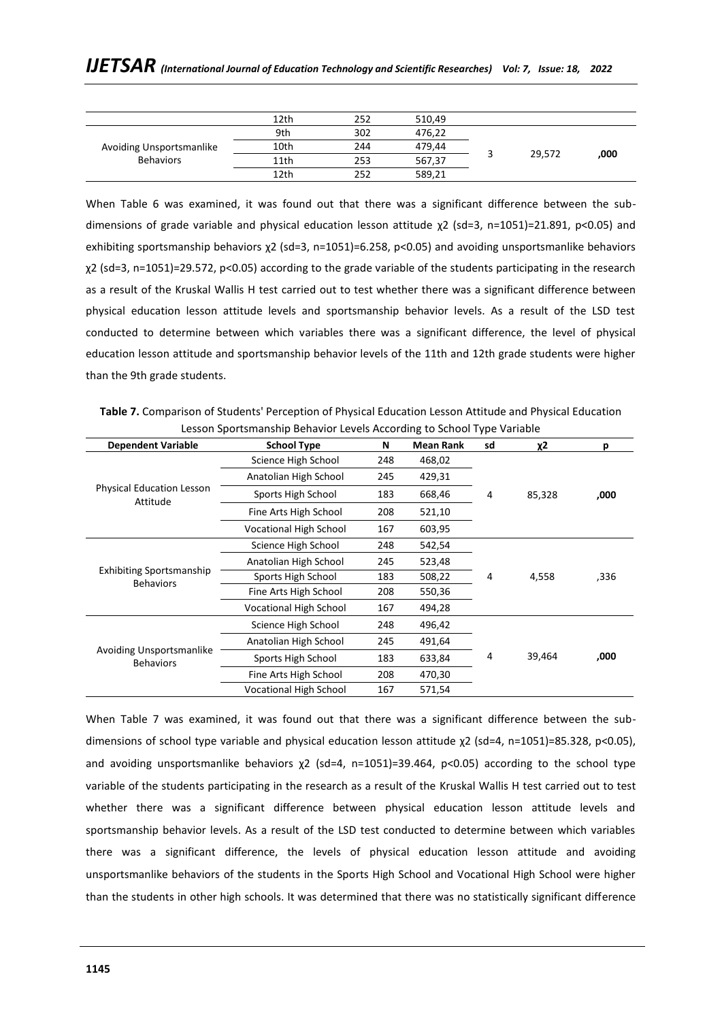|                          | 12th | 252 | 510,49 |        |      |
|--------------------------|------|-----|--------|--------|------|
|                          | 9th  | 302 | 476,22 | 29,572 |      |
| Avoiding Unsportsmanlike | 10th | 244 | 479,44 |        |      |
| <b>Behaviors</b>         | 11th | 253 | 567,37 |        | ,000 |
|                          | 12th | 252 | 589,21 |        |      |

When Table 6 was examined, it was found out that there was a significant difference between the subdimensions of grade variable and physical education lesson attitude χ2 (sd=3, n=1051)=21.891, p<0.05) and exhibiting sportsmanship behaviors χ2 (sd=3, n=1051)=6.258, p<0.05) and avoiding unsportsmanlike behaviors χ2 (sd=3, n=1051)=29.572, p<0.05) according to the grade variable of the students participating in the research as a result of the Kruskal Wallis H test carried out to test whether there was a significant difference between physical education lesson attitude levels and sportsmanship behavior levels. As a result of the LSD test conducted to determine between which variables there was a significant difference, the level of physical education lesson attitude and sportsmanship behavior levels of the 11th and 12th grade students were higher than the 9th grade students.

**Table 7.** Comparison of Students' Perception of Physical Education Lesson Attitude and Physical Education Lesson Sportsmanship Behavior Levels According to School Type Variable

| <b>Dependent Variable</b>                           | <b>School Type</b>            | N   | <b>Mean Rank</b> | sd | χ2     | p    |
|-----------------------------------------------------|-------------------------------|-----|------------------|----|--------|------|
|                                                     | Science High School           | 248 | 468,02           |    |        |      |
|                                                     | Anatolian High School         | 245 | 429,31           |    |        |      |
| <b>Physical Education Lesson</b><br>Attitude        | Sports High School            | 183 | 668,46           | 4  | 85,328 | ,000 |
|                                                     | Fine Arts High School         | 208 | 521,10           |    |        |      |
|                                                     | <b>Vocational High School</b> | 167 | 603,95           |    |        |      |
|                                                     | Science High School           | 248 | 542,54           |    | 4,558  |      |
|                                                     | Anatolian High School         | 245 | 523,48           |    |        |      |
| <b>Exhibiting Sportsmanship</b><br><b>Behaviors</b> | Sports High School            | 183 | 508,22           | 4  |        | ,336 |
|                                                     | Fine Arts High School         | 208 | 550,36           |    |        |      |
|                                                     | <b>Vocational High School</b> | 167 | 494,28           |    |        |      |
|                                                     | Science High School           | 248 | 496,42           |    |        |      |
|                                                     | Anatolian High School         | 245 | 491,64           |    |        |      |
| <b>Avoiding Unsportsmanlike</b><br><b>Behaviors</b> | Sports High School            | 183 | 633,84           | 4  | 39,464 | ,000 |
|                                                     | Fine Arts High School         | 208 | 470,30           |    |        |      |
|                                                     | <b>Vocational High School</b> | 167 | 571,54           |    |        |      |

When Table 7 was examined, it was found out that there was a significant difference between the subdimensions of school type variable and physical education lesson attitude χ2 (sd=4, n=1051)=85.328, p<0.05), and avoiding unsportsmanlike behaviors  $\chi^2$  (sd=4, n=1051)=39.464, p<0.05) according to the school type variable of the students participating in the research as a result of the Kruskal Wallis H test carried out to test whether there was a significant difference between physical education lesson attitude levels and sportsmanship behavior levels. As a result of the LSD test conducted to determine between which variables there was a significant difference, the levels of physical education lesson attitude and avoiding unsportsmanlike behaviors of the students in the Sports High School and Vocational High School were higher than the students in other high schools. It was determined that there was no statistically significant difference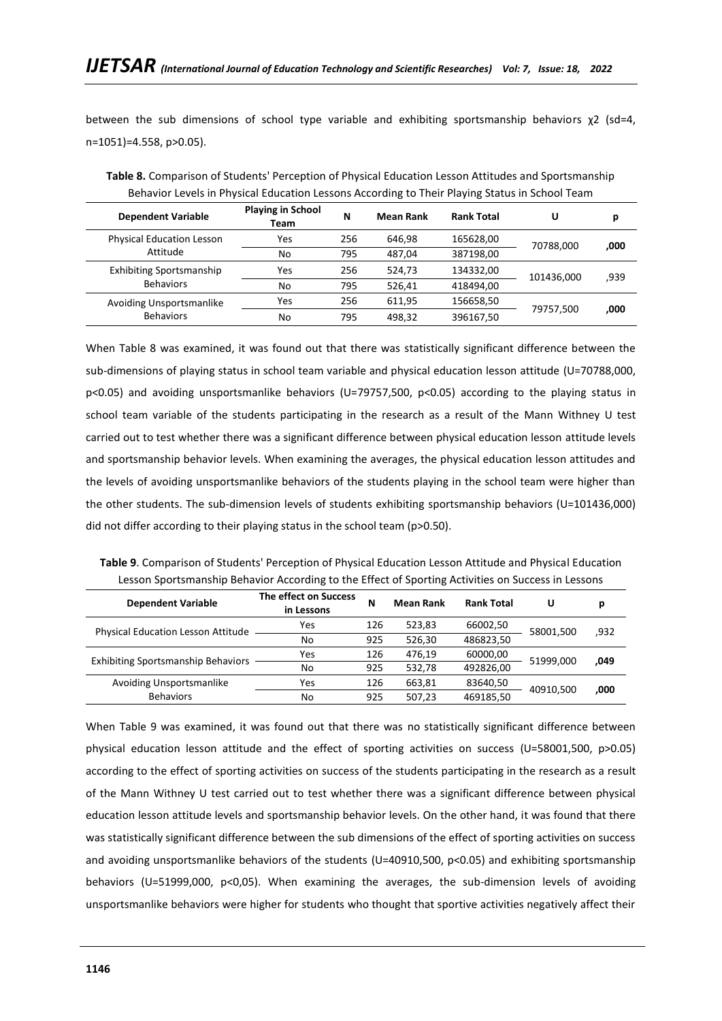between the sub dimensions of school type variable and exhibiting sportsmanship behaviors  $\chi^2$  (sd=4, n=1051)=4.558, p>0.05).

| <b>Dependent Variable</b>        | <b>Playing in School</b><br>Team | N   | <b>Mean Rank</b> | <b>Rank Total</b> | U          | р    |
|----------------------------------|----------------------------------|-----|------------------|-------------------|------------|------|
| <b>Physical Education Lesson</b> | Yes                              | 256 | 646.98           | 165628,00         | 70788.000  | ,000 |
| Attitude                         | No                               | 795 | 487,04           | 387198,00         |            |      |
| <b>Exhibiting Sportsmanship</b>  | Yes                              | 256 | 524,73           | 134332,00         | 101436.000 | ,939 |
| <b>Behaviors</b>                 | No                               | 795 | 526,41           | 418494,00         |            |      |
| Avoiding Unsportsmanlike         | Yes                              | 256 | 611.95           | 156658,50         |            |      |
| <b>Behaviors</b>                 | No                               | 795 | 498.32           | 396167,50         | 79757.500  | ,000 |

**Table 8.** Comparison of Students' Perception of Physical Education Lesson Attitudes and Sportsmanship Behavior Levels in Physical Education Lessons According to Their Playing Status in School Team

When Table 8 was examined, it was found out that there was statistically significant difference between the sub-dimensions of playing status in school team variable and physical education lesson attitude (U=70788,000, p<0.05) and avoiding unsportsmanlike behaviors (U=79757,500, p<0.05) according to the playing status in school team variable of the students participating in the research as a result of the Mann Withney U test carried out to test whether there was a significant difference between physical education lesson attitude levels and sportsmanship behavior levels. When examining the averages, the physical education lesson attitudes and the levels of avoiding unsportsmanlike behaviors of the students playing in the school team were higher than the other students. The sub-dimension levels of students exhibiting sportsmanship behaviors (U=101436,000) did not differ according to their playing status in the school team (p>0.50).

**Table 9**. Comparison of Students' Perception of Physical Education Lesson Attitude and Physical Education Lesson Sportsmanship Behavior According to the Effect of Sporting Activities on Success in Lessons

| <b>Dependent Variable</b>                 | The effect on Success<br>in Lessons | N   | <b>Mean Rank</b> | <b>Rank Total</b> | U         |      |
|-------------------------------------------|-------------------------------------|-----|------------------|-------------------|-----------|------|
| <b>Physical Education Lesson Attitude</b> | Yes                                 | 126 | 523,83           | 66002,50          | 58001.500 | ,932 |
|                                           | No                                  | 925 | 526,30           | 486823,50         |           |      |
|                                           | Yes                                 | 126 | 476.19           | 60000,00          | 51999.000 | 049, |
| <b>Exhibiting Sportsmanship Behaviors</b> | No                                  | 925 | 532.78           | 492826,00         |           |      |
| Avoiding Unsportsmanlike                  | Yes                                 | 126 | 663,81           | 83640,50          | 40910.500 | ,000 |
| <b>Behaviors</b>                          | No                                  | 925 | 507.23           | 469185,50         |           |      |

When Table 9 was examined, it was found out that there was no statistically significant difference between physical education lesson attitude and the effect of sporting activities on success (U=58001,500, p>0.05) according to the effect of sporting activities on success of the students participating in the research as a result of the Mann Withney U test carried out to test whether there was a significant difference between physical education lesson attitude levels and sportsmanship behavior levels. On the other hand, it was found that there was statistically significant difference between the sub dimensions of the effect of sporting activities on success and avoiding unsportsmanlike behaviors of the students (U=40910,500, p<0.05) and exhibiting sportsmanship behaviors (U=51999,000, p<0,05). When examining the averages, the sub-dimension levels of avoiding unsportsmanlike behaviors were higher for students who thought that sportive activities negatively affect their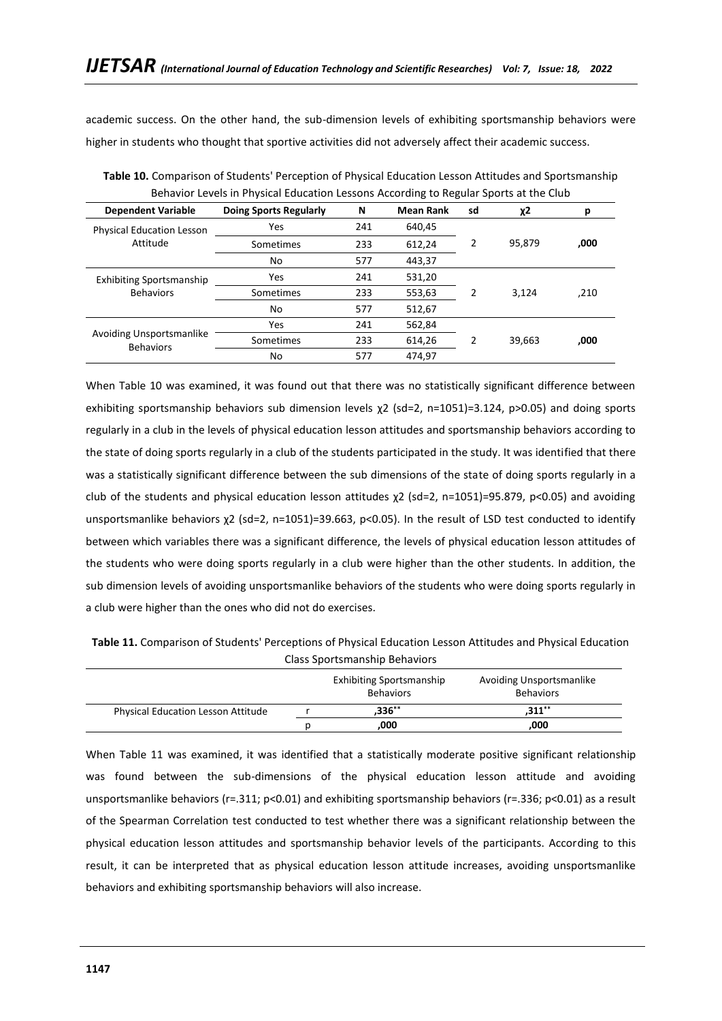academic success. On the other hand, the sub-dimension levels of exhibiting sportsmanship behaviors were higher in students who thought that sportive activities did not adversely affect their academic success.

| <b>Dependent Variable</b>                    | <b>Doing Sports Regularly</b> | N   | <b>Mean Rank</b> | sd | χ2     | р    |
|----------------------------------------------|-------------------------------|-----|------------------|----|--------|------|
| <b>Physical Education Lesson</b>             | Yes                           | 241 | 640,45           |    |        |      |
| Attitude                                     | Sometimes                     | 233 | 612,24           |    | 95,879 | ,000 |
|                                              | No                            | 577 | 443,37           |    |        |      |
| <b>Exhibiting Sportsmanship</b>              | Yes                           | 241 | 531,20           |    |        |      |
| <b>Behaviors</b>                             | Sometimes                     | 233 | 553,63           | 2  | 3,124  | ,210 |
|                                              | No                            | 577 | 512,67           |    |        |      |
|                                              | Yes                           | 241 | 562,84           |    |        |      |
| Avoiding Unsportsmanlike<br><b>Behaviors</b> | Sometimes                     | 233 | 614,26           |    | 39,663 | ,000 |
|                                              | No                            | 577 | 474,97           |    |        |      |

**Table 10.** Comparison of Students' Perception of Physical Education Lesson Attitudes and Sportsmanship Behavior Levels in Physical Education Lessons According to Regular Sports at the Club

When Table 10 was examined, it was found out that there was no statistically significant difference between exhibiting sportsmanship behaviors sub dimension levels χ2 (sd=2, n=1051)=3.124, p>0.05) and doing sports regularly in a club in the levels of physical education lesson attitudes and sportsmanship behaviors according to the state of doing sports regularly in a club of the students participated in the study. It was identified that there was a statistically significant difference between the sub dimensions of the state of doing sports regularly in a club of the students and physical education lesson attitudes χ2 (sd=2, n=1051)=95.879, p<0.05) and avoiding unsportsmanlike behaviors χ2 (sd=2, n=1051)=39.663, p<0.05). In the result of LSD test conducted to identify between which variables there was a significant difference, the levels of physical education lesson attitudes of the students who were doing sports regularly in a club were higher than the other students. In addition, the sub dimension levels of avoiding unsportsmanlike behaviors of the students who were doing sports regularly in a club were higher than the ones who did not do exercises.

|                                           | <b>Exhibiting Sportsmanship</b><br><b>Behaviors</b> | Avoiding Unsportsmanlike<br><b>Behaviors</b> |
|-------------------------------------------|-----------------------------------------------------|----------------------------------------------|
| <b>Physical Education Lesson Attitude</b> | $,336***$                                           | $.311***$                                    |
|                                           | ,000                                                | ,000                                         |

**Table 11.** Comparison of Students' Perceptions of Physical Education Lesson Attitudes and Physical Education Class Sportsmanship Behaviors

When Table 11 was examined, it was identified that a statistically moderate positive significant relationship was found between the sub-dimensions of the physical education lesson attitude and avoiding unsportsmanlike behaviors (r=.311; p<0.01) and exhibiting sportsmanship behaviors (r=.336; p<0.01) as a result of the Spearman Correlation test conducted to test whether there was a significant relationship between the physical education lesson attitudes and sportsmanship behavior levels of the participants. According to this result, it can be interpreted that as physical education lesson attitude increases, avoiding unsportsmanlike behaviors and exhibiting sportsmanship behaviors will also increase.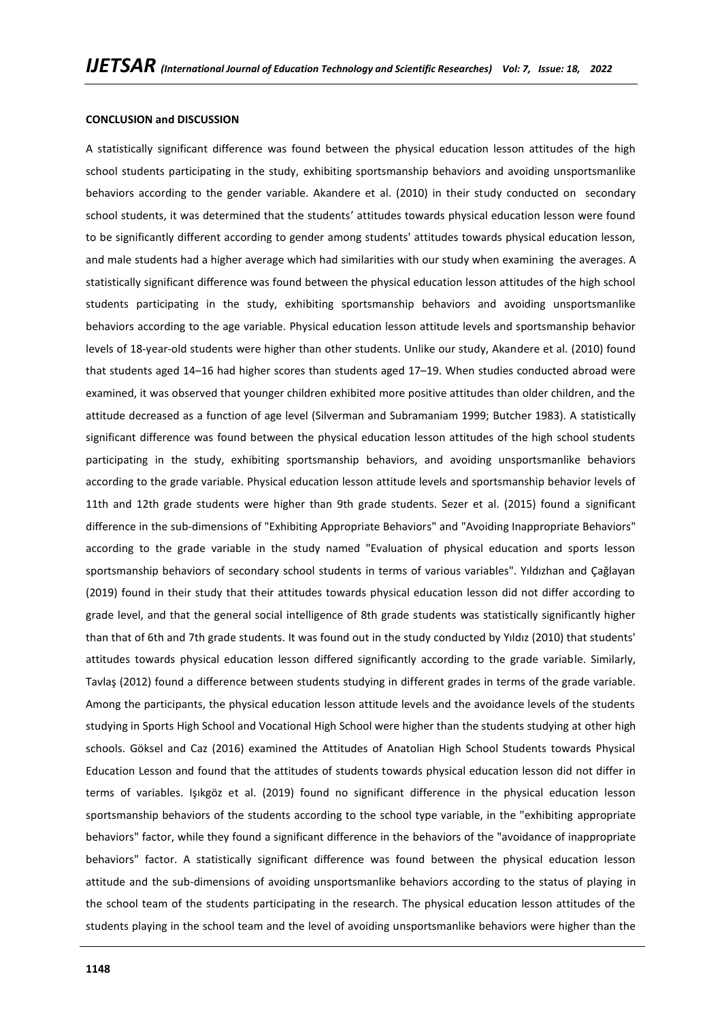### **CONCLUSION and DISCUSSION**

A statistically significant difference was found between the physical education lesson attitudes of the high school students participating in the study, exhibiting sportsmanship behaviors and avoiding unsportsmanlike behaviors according to the gender variable. Akandere et al. (2010) in their study conducted on secondary school students, it was determined that the students' attitudes towards physical education lesson were found to be significantly different according to gender among students' attitudes towards physical education lesson, and male students had a higher average which had similarities with our study when examining the averages. A statistically significant difference was found between the physical education lesson attitudes of the high school students participating in the study, exhibiting sportsmanship behaviors and avoiding unsportsmanlike behaviors according to the age variable. Physical education lesson attitude levels and sportsmanship behavior levels of 18-year-old students were higher than other students. Unlike our study, Akandere et al. (2010) found that students aged 14–16 had higher scores than students aged 17–19. When studies conducted abroad were examined, it was observed that younger children exhibited more positive attitudes than older children, and the attitude decreased as a function of age level (Silverman and Subramaniam 1999; Butcher 1983). A statistically significant difference was found between the physical education lesson attitudes of the high school students participating in the study, exhibiting sportsmanship behaviors, and avoiding unsportsmanlike behaviors according to the grade variable. Physical education lesson attitude levels and sportsmanship behavior levels of 11th and 12th grade students were higher than 9th grade students. Sezer et al. (2015) found a significant difference in the sub-dimensions of "Exhibiting Appropriate Behaviors" and "Avoiding Inappropriate Behaviors" according to the grade variable in the study named "Evaluation of physical education and sports lesson sportsmanship behaviors of secondary school students in terms of various variables". Yıldızhan and Çağlayan (2019) found in their study that their attitudes towards physical education lesson did not differ according to grade level, and that the general social intelligence of 8th grade students was statistically significantly higher than that of 6th and 7th grade students. It was found out in the study conducted by Yıldız (2010) that students' attitudes towards physical education lesson differed significantly according to the grade variable. Similarly, Tavlaş (2012) found a difference between students studying in different grades in terms of the grade variable. Among the participants, the physical education lesson attitude levels and the avoidance levels of the students studying in Sports High School and Vocational High School were higher than the students studying at other high schools. Göksel and Caz (2016) examined the Attitudes of Anatolian High School Students towards Physical Education Lesson and found that the attitudes of students towards physical education lesson did not differ in terms of variables. Işıkgöz et al. (2019) found no significant difference in the physical education lesson sportsmanship behaviors of the students according to the school type variable, in the "exhibiting appropriate behaviors" factor, while they found a significant difference in the behaviors of the "avoidance of inappropriate behaviors" factor. A statistically significant difference was found between the physical education lesson attitude and the sub-dimensions of avoiding unsportsmanlike behaviors according to the status of playing in the school team of the students participating in the research. The physical education lesson attitudes of the students playing in the school team and the level of avoiding unsportsmanlike behaviors were higher than the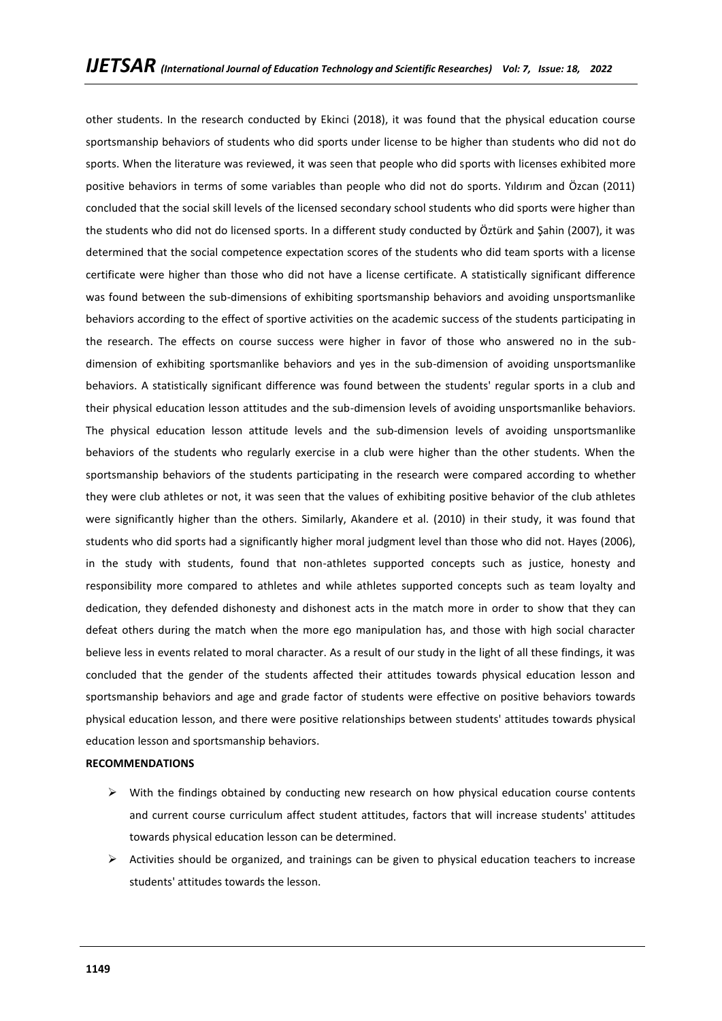other students. In the research conducted by Ekinci (2018), it was found that the physical education course sportsmanship behaviors of students who did sports under license to be higher than students who did not do sports. When the literature was reviewed, it was seen that people who did sports with licenses exhibited more positive behaviors in terms of some variables than people who did not do sports. Yıldırım and Özcan (2011) concluded that the social skill levels of the licensed secondary school students who did sports were higher than the students who did not do licensed sports. In a different study conducted by Öztürk and Şahin (2007), it was determined that the social competence expectation scores of the students who did team sports with a license certificate were higher than those who did not have a license certificate. A statistically significant difference was found between the sub-dimensions of exhibiting sportsmanship behaviors and avoiding unsportsmanlike behaviors according to the effect of sportive activities on the academic success of the students participating in the research. The effects on course success were higher in favor of those who answered no in the subdimension of exhibiting sportsmanlike behaviors and yes in the sub-dimension of avoiding unsportsmanlike behaviors. A statistically significant difference was found between the students' regular sports in a club and their physical education lesson attitudes and the sub-dimension levels of avoiding unsportsmanlike behaviors. The physical education lesson attitude levels and the sub-dimension levels of avoiding unsportsmanlike behaviors of the students who regularly exercise in a club were higher than the other students. When the sportsmanship behaviors of the students participating in the research were compared according to whether they were club athletes or not, it was seen that the values of exhibiting positive behavior of the club athletes were significantly higher than the others. Similarly, Akandere et al. (2010) in their study, it was found that students who did sports had a significantly higher moral judgment level than those who did not. Hayes (2006), in the study with students, found that non-athletes supported concepts such as justice, honesty and responsibility more compared to athletes and while athletes supported concepts such as team loyalty and dedication, they defended dishonesty and dishonest acts in the match more in order to show that they can defeat others during the match when the more ego manipulation has, and those with high social character believe less in events related to moral character. As a result of our study in the light of all these findings, it was concluded that the gender of the students affected their attitudes towards physical education lesson and sportsmanship behaviors and age and grade factor of students were effective on positive behaviors towards physical education lesson, and there were positive relationships between students' attitudes towards physical education lesson and sportsmanship behaviors.

## **RECOMMENDATIONS**

- $\triangleright$  With the findings obtained by conducting new research on how physical education course contents and current course curriculum affect student attitudes, factors that will increase students' attitudes towards physical education lesson can be determined.
- $\triangleright$  Activities should be organized, and trainings can be given to physical education teachers to increase students' attitudes towards the lesson.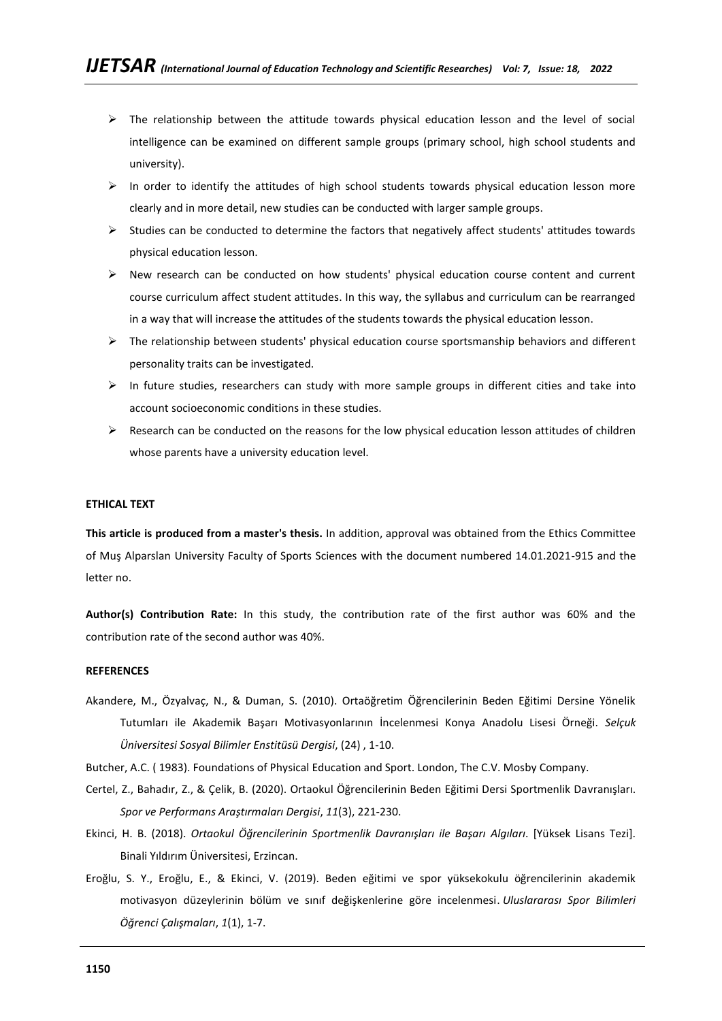- $\triangleright$  The relationship between the attitude towards physical education lesson and the level of social intelligence can be examined on different sample groups (primary school, high school students and university).
- $\triangleright$  In order to identify the attitudes of high school students towards physical education lesson more clearly and in more detail, new studies can be conducted with larger sample groups.
- ➢ Studies can be conducted to determine the factors that negatively affect students' attitudes towards physical education lesson.
- $\triangleright$  New research can be conducted on how students' physical education course content and current course curriculum affect student attitudes. In this way, the syllabus and curriculum can be rearranged in a way that will increase the attitudes of the students towards the physical education lesson.
- $\triangleright$  The relationship between students' physical education course sportsmanship behaviors and different personality traits can be investigated.
- $\triangleright$  In future studies, researchers can study with more sample groups in different cities and take into account socioeconomic conditions in these studies.
- $\triangleright$  Research can be conducted on the reasons for the low physical education lesson attitudes of children whose parents have a university education level.

### **ETHICAL TEXT**

**This article is produced from a master's thesis.** In addition, approval was obtained from the Ethics Committee of Muş Alparslan University Faculty of Sports Sciences with the document numbered 14.01.2021-915 and the letter no.

**Author(s) Contribution Rate:** In this study, the contribution rate of the first author was 60% and the contribution rate of the second author was 40%.

### **REFERENCES**

Akandere, M., Özyalvaç, N., & Duman, S. (2010). Ortaöğretim Öğrencilerinin Beden Eğitimi Dersine Yönelik Tutumları ile Akademik Başarı Motivasyonlarının İncelenmesi Konya Anadolu Lisesi Örneği. *Selçuk Üniversitesi Sosyal Bilimler Enstitüsü Dergisi*, (24) , 1-10.

Butcher, A.C. ( 1983). Foundations of Physical Education and Sport. London, The C.V. Mosby Company.

- Certel, Z., Bahadır, Z., & Çelik, B. (2020). Ortaokul Öğrencilerinin Beden Eğitimi Dersi Sportmenlik Davranışları. *Spor ve Performans Araştırmaları Dergisi*, *11*(3), 221-230.
- Ekinci, H. B. (2018). *Ortaokul Öğrencilerinin Sportmenlik Davranışları ile Başarı Algıları*. [Yüksek Lisans Tezi]. Binali Yıldırım Üniversitesi, Erzincan.
- Eroğlu, S. Y., Eroğlu, E., & Ekinci, V. (2019). Beden eğitimi ve spor yüksekokulu öğrencilerinin akademik motivasyon düzeylerinin bölüm ve sınıf değişkenlerine göre incelenmesi. *Uluslararası Spor Bilimleri Öğrenci Çalışmaları*, *1*(1), 1-7.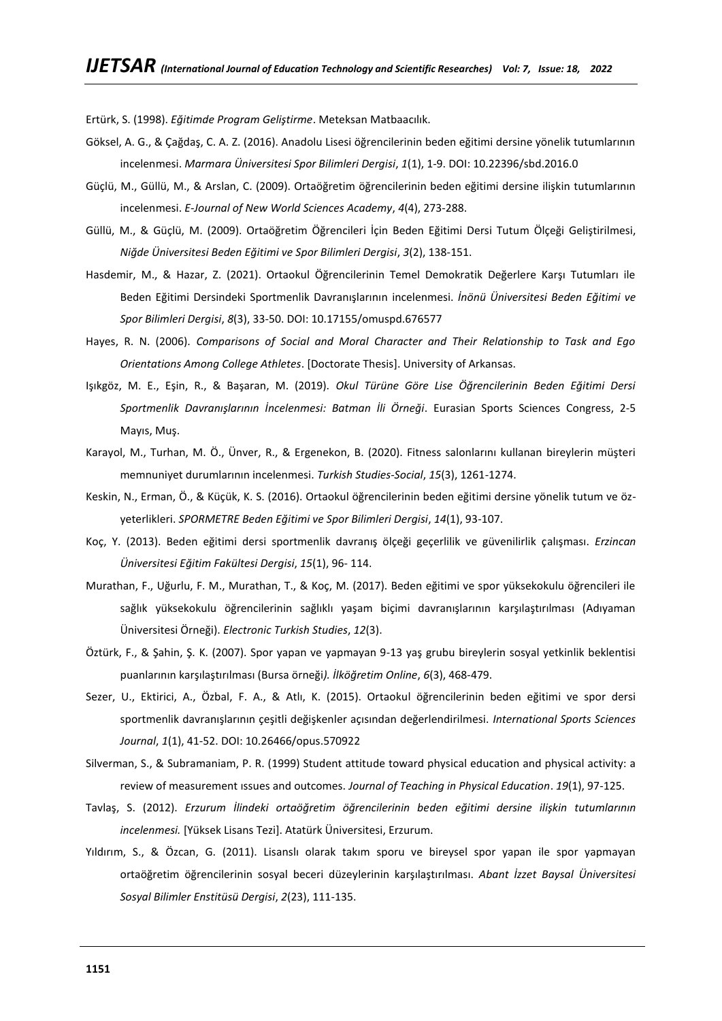Ertürk, S. (1998). *Eğitimde Program Geliştirme*. Meteksan Matbaacılık.

- Göksel, A. G., & Çağdaş, C. A. Z. (2016). Anadolu Lisesi öğrencilerinin beden eğitimi dersine yönelik tutumlarının incelenmesi. *Marmara Üniversitesi Spor Bilimleri Dergisi*, *1*(1), 1-9. DOI: 10.22396/sbd.2016.0
- Güçlü, M., Güllü, M., & Arslan, C. (2009). Ortaöğretim öğrencilerinin beden eğitimi dersine ilişkin tutumlarının incelenmesi. *E-Journal of New World Sciences Academy*, *4*(4), 273-288.
- Güllü, M., & Güçlü, M. (2009). Ortaöğretim Öğrencileri İçin Beden Eğitimi Dersi Tutum Ölçeği Geliştirilmesi, *Niğde Üniversitesi Beden Eğitimi ve Spor Bilimleri Dergisi*, *3*(2), 138-151.
- Hasdemir, M., & Hazar, Z. (2021). Ortaokul Öğrencilerinin Temel Demokratik Değerlere Karşı Tutumları ile Beden Eğitimi Dersindeki Sportmenlik Davranışlarının incelenmesi. *İnönü Üniversitesi Beden Eğitimi ve Spor Bilimleri Dergisi*, *8*(3), 33-50. DOI: 10.17155/omuspd.676577
- Hayes, R. N. (2006). *Comparisons of Social and Moral Character and Their Relationship to Task and Ego Orientations Among College Athletes*. [Doctorate Thesis]. University of Arkansas.
- Işıkgöz, M. E., Eşin, R., & Başaran, M. (2019). *Okul Türüne Göre Lise Öğrencilerinin Beden Eğitimi Dersi Sportmenlik Davranışlarının İncelenmesi: Batman İli Örneği*. Eurasian Sports Sciences Congress, 2-5 Mayıs, Muş.
- Karayol, M., Turhan, M. Ö., Ünver, R., & Ergenekon, B. (2020). Fitness salonlarını kullanan bireylerin müşteri memnuniyet durumlarının incelenmesi. *Turkish Studies-Social*, *15*(3), 1261-1274.
- Keskin, N., Erman, Ö., & Küçük, K. S. (2016). Ortaokul öğrencilerinin beden eğitimi dersine yönelik tutum ve özyeterlikleri. *SPORMETRE Beden Eğitimi ve Spor Bilimleri Dergisi*, *14*(1), 93-107.
- Koç, Y. (2013). Beden eğitimi dersi sportmenlik davranış ölçeği geçerlilik ve güvenilirlik çalışması. *Erzincan Üniversitesi Eğitim Fakültesi Dergisi*, *15*(1), 96- 114.
- Murathan, F., Uğurlu, F. M., Murathan, T., & Koç, M. (2017). Beden eğitimi ve spor yüksekokulu öğrencileri ile sağlık yüksekokulu öğrencilerinin sağlıklı yaşam biçimi davranışlarının karşılaştırılması (Adıyaman Üniversitesi Örneği). *Electronic Turkish Studies*, *12*(3).
- Öztürk, F., & Şahin, Ş. K. (2007). Spor yapan ve yapmayan 9-13 yaş grubu bireylerin sosyal yetkinlik beklentisi puanlarının karşılaştırılması (Bursa örneği*). İlköğretim Online*, *6*(3), 468-479.
- Sezer, U., Ektirici, A., Özbal, F. A., & Atlı, K. (2015). Ortaokul öğrencilerinin beden eğitimi ve spor dersi sportmenlik davranışlarının çeşitli değişkenler açısından değerlendirilmesi. *International Sports Sciences Journal*, *1*(1), 41-52. DOI: 10.26466/opus.570922
- Silverman, S., & Subramaniam, P. R. (1999) Student attitude toward physical education and physical activity: a review of measurement ıssues and outcomes. *Journal of Teaching in Physical Education*. *19*(1), 97-125.
- Tavlaş, S. (2012). *Erzurum İlindeki ortaöğretim öğrencilerinin beden eğitimi dersine ilişkin tutumlarının incelenmesi.* [Yüksek Lisans Tezi]. Atatürk Üniversitesi, Erzurum.
- Yıldırım, S., & Özcan, G. (2011). Lisanslı olarak takım sporu ve bireysel spor yapan ile spor yapmayan ortaöğretim öğrencilerinin sosyal beceri düzeylerinin karşılaştırılması. *Abant İzzet Baysal Üniversitesi Sosyal Bilimler Enstitüsü Dergisi*, *2*(23), 111-135.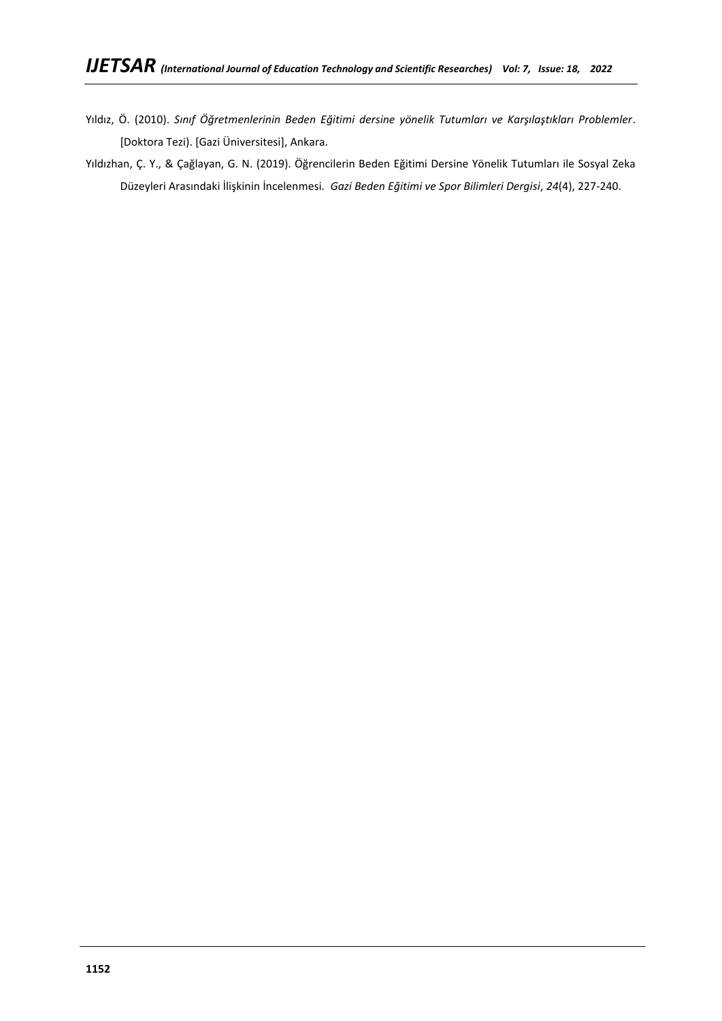- Yıldız, Ö. (2010). *Sınıf Öğretmenlerinin Beden Eğitimi dersine yönelik Tutumları ve Karşılaştıkları Problemler*. [Doktora Tezi). [Gazi Üniversitesi], Ankara.
- Yıldızhan, Ç. Y., & Çağlayan, G. N. (2019). Öğrencilerin Beden Eğitimi Dersine Yönelik Tutumları ile Sosyal Zeka Düzeyleri Arasındaki İlişkinin İncelenmesi*. Gazi Beden Eğitimi ve Spor Bilimleri Dergisi*, *24*(4), 227-240.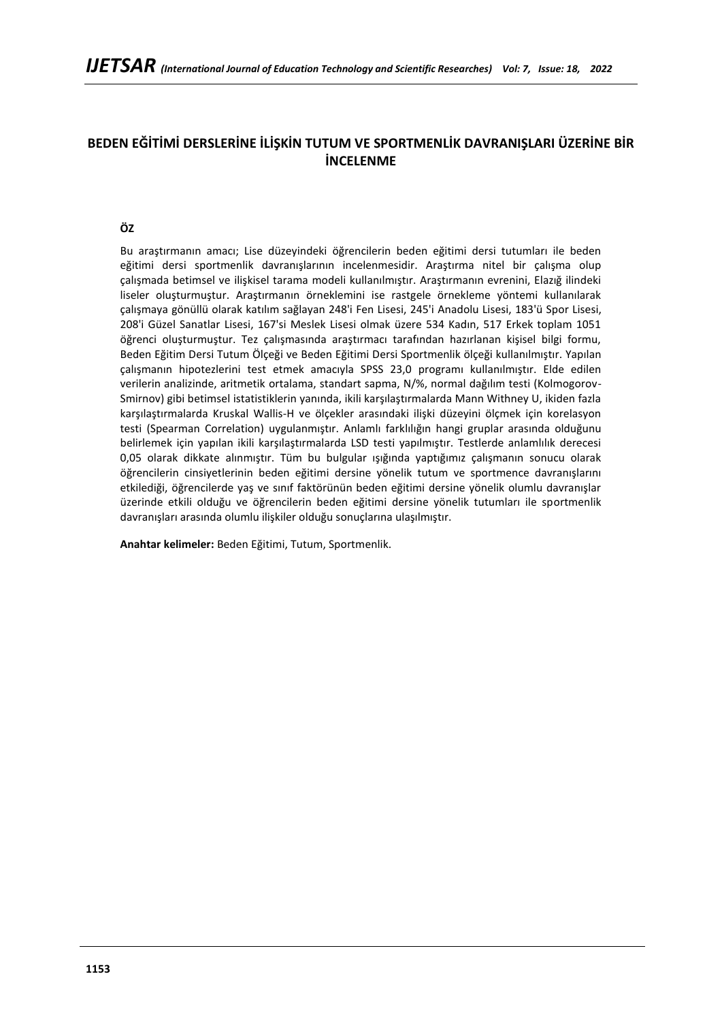# **BEDEN EĞİTİMİ DERSLERİNE İLİŞKİN TUTUM VE SPORTMENLİK DAVRANIŞLARI ÜZERİNE BİR İNCELENME**

## **ÖZ**

Bu araştırmanın amacı; Lise düzeyindeki öğrencilerin beden eğitimi dersi tutumları ile beden eğitimi dersi sportmenlik davranışlarının incelenmesidir. Araştırma nitel bir çalışma olup çalışmada betimsel ve ilişkisel tarama modeli kullanılmıştır. Araştırmanın evrenini, Elazığ ilindeki liseler oluşturmuştur. Araştırmanın örneklemini ise rastgele örnekleme yöntemi kullanılarak çalışmaya gönüllü olarak katılım sağlayan 248'i Fen Lisesi, 245'i Anadolu Lisesi, 183'ü Spor Lisesi, 208'i Güzel Sanatlar Lisesi, 167'si Meslek Lisesi olmak üzere 534 Kadın, 517 Erkek toplam 1051 öğrenci oluşturmuştur. Tez çalışmasında araştırmacı tarafından hazırlanan kişisel bilgi formu, Beden Eğitim Dersi Tutum Ölçeği ve Beden Eğitimi Dersi Sportmenlik ölçeği kullanılmıştır. Yapılan çalışmanın hipotezlerini test etmek amacıyla SPSS 23,0 programı kullanılmıştır. Elde edilen verilerin analizinde, aritmetik ortalama, standart sapma, N/%, normal dağılım testi (Kolmogorov-Smirnov) gibi betimsel istatistiklerin yanında, ikili karşılaştırmalarda Mann Withney U, ikiden fazla karşılaştırmalarda Kruskal Wallis-H ve ölçekler arasındaki ilişki düzeyini ölçmek için korelasyon testi (Spearman Correlation) uygulanmıştır. Anlamlı farklılığın hangi gruplar arasında olduğunu belirlemek için yapılan ikili karşılaştırmalarda LSD testi yapılmıştır. Testlerde anlamlılık derecesi 0,05 olarak dikkate alınmıştır. Tüm bu bulgular ışığında yaptığımız çalışmanın sonucu olarak öğrencilerin cinsiyetlerinin beden eğitimi dersine yönelik tutum ve sportmence davranışlarını etkilediği, öğrencilerde yaş ve sınıf faktörünün beden eğitimi dersine yönelik olumlu davranışlar üzerinde etkili olduğu ve öğrencilerin beden eğitimi dersine yönelik tutumları ile sportmenlik davranışları arasında olumlu ilişkiler olduğu sonuçlarına ulaşılmıştır.

**Anahtar kelimeler:** Beden Eğitimi, Tutum, Sportmenlik.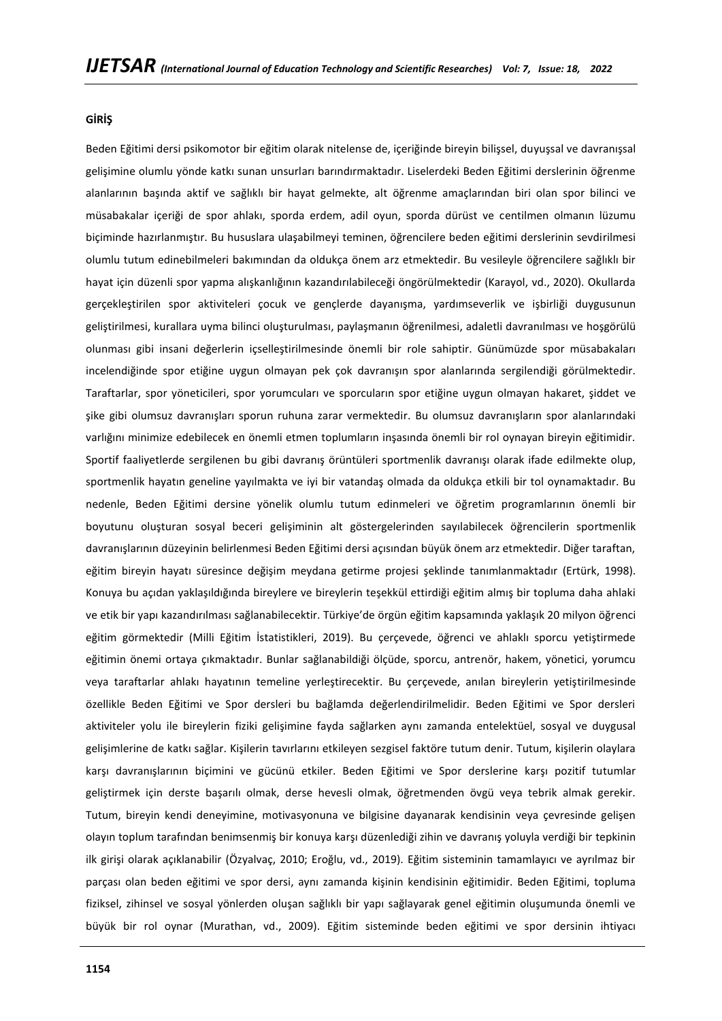### **GİRİŞ**

Beden Eğitimi dersi psikomotor bir eğitim olarak nitelense de, içeriğinde bireyin bilişsel, duyuşsal ve davranışsal gelişimine olumlu yönde katkı sunan unsurları barındırmaktadır. Liselerdeki Beden Eğitimi derslerinin öğrenme alanlarının başında aktif ve sağlıklı bir hayat gelmekte, alt öğrenme amaçlarından biri olan spor bilinci ve müsabakalar içeriği de spor ahlakı, sporda erdem, adil oyun, sporda dürüst ve centilmen olmanın lüzumu biçiminde hazırlanmıştır. Bu hususlara ulaşabilmeyi teminen, öğrencilere beden eğitimi derslerinin sevdirilmesi olumlu tutum edinebilmeleri bakımından da oldukça önem arz etmektedir. Bu vesileyle öğrencilere sağlıklı bir hayat için düzenli spor yapma alışkanlığının kazandırılabileceği öngörülmektedir (Karayol, vd., 2020). Okullarda gerçekleştirilen spor aktiviteleri çocuk ve gençlerde dayanışma, yardımseverlik ve işbirliği duygusunun geliştirilmesi, kurallara uyma bilinci oluşturulması, paylaşmanın öğrenilmesi, adaletli davranılması ve hoşgörülü olunması gibi insani değerlerin içselleştirilmesinde önemli bir role sahiptir. Günümüzde spor müsabakaları incelendiğinde spor etiğine uygun olmayan pek çok davranışın spor alanlarında sergilendiği görülmektedir. Taraftarlar, spor yöneticileri, spor yorumcuları ve sporcuların spor etiğine uygun olmayan hakaret, şiddet ve şike gibi olumsuz davranışları sporun ruhuna zarar vermektedir. Bu olumsuz davranışların spor alanlarındaki varlığını minimize edebilecek en önemli etmen toplumların inşasında önemli bir rol oynayan bireyin eğitimidir. Sportif faaliyetlerde sergilenen bu gibi davranış örüntüleri sportmenlik davranışı olarak ifade edilmekte olup, sportmenlik hayatın geneline yayılmakta ve iyi bir vatandaş olmada da oldukça etkili bir tol oynamaktadır. Bu nedenle, Beden Eğitimi dersine yönelik olumlu tutum edinmeleri ve öğretim programlarının önemli bir boyutunu oluşturan sosyal beceri gelişiminin alt göstergelerinden sayılabilecek öğrencilerin sportmenlik davranışlarının düzeyinin belirlenmesi Beden Eğitimi dersi açısından büyük önem arz etmektedir. Diğer taraftan, eğitim bireyin hayatı süresince değişim meydana getirme projesi şeklinde tanımlanmaktadır (Ertürk, 1998). Konuya bu açıdan yaklaşıldığında bireylere ve bireylerin teşekkül ettirdiği eğitim almış bir topluma daha ahlaki ve etik bir yapı kazandırılması sağlanabilecektir. Türkiye'de örgün eğitim kapsamında yaklaşık 20 milyon öğrenci eğitim görmektedir (Milli Eğitim İstatistikleri, 2019). Bu çerçevede, öğrenci ve ahlaklı sporcu yetiştirmede eğitimin önemi ortaya çıkmaktadır. Bunlar sağlanabildiği ölçüde, sporcu, antrenör, hakem, yönetici, yorumcu veya taraftarlar ahlakı hayatının temeline yerleştirecektir. Bu çerçevede, anılan bireylerin yetiştirilmesinde özellikle Beden Eğitimi ve Spor dersleri bu bağlamda değerlendirilmelidir. Beden Eğitimi ve Spor dersleri aktiviteler yolu ile bireylerin fiziki gelişimine fayda sağlarken aynı zamanda entelektüel, sosyal ve duygusal gelişimlerine de katkı sağlar. Kişilerin tavırlarını etkileyen sezgisel faktöre tutum denir. Tutum, kişilerin olaylara karşı davranışlarının biçimini ve gücünü etkiler. Beden Eğitimi ve Spor derslerine karşı pozitif tutumlar geliştirmek için derste başarılı olmak, derse hevesli olmak, öğretmenden övgü veya tebrik almak gerekir. Tutum, bireyin kendi deneyimine, motivasyonuna ve bilgisine dayanarak kendisinin veya çevresinde gelişen olayın toplum tarafından benimsenmiş bir konuya karşı düzenlediği zihin ve davranış yoluyla verdiği bir tepkinin ilk girişi olarak açıklanabilir (Özyalvaç, 2010; Eroğlu, vd., 2019). Eğitim sisteminin tamamlayıcı ve ayrılmaz bir parçası olan beden eğitimi ve spor dersi, aynı zamanda kişinin kendisinin eğitimidir. Beden Eğitimi, topluma fiziksel, zihinsel ve sosyal yönlerden oluşan sağlıklı bir yapı sağlayarak genel eğitimin oluşumunda önemli ve büyük bir rol oynar (Murathan, vd., 2009). Eğitim sisteminde beden eğitimi ve spor dersinin ihtiyacı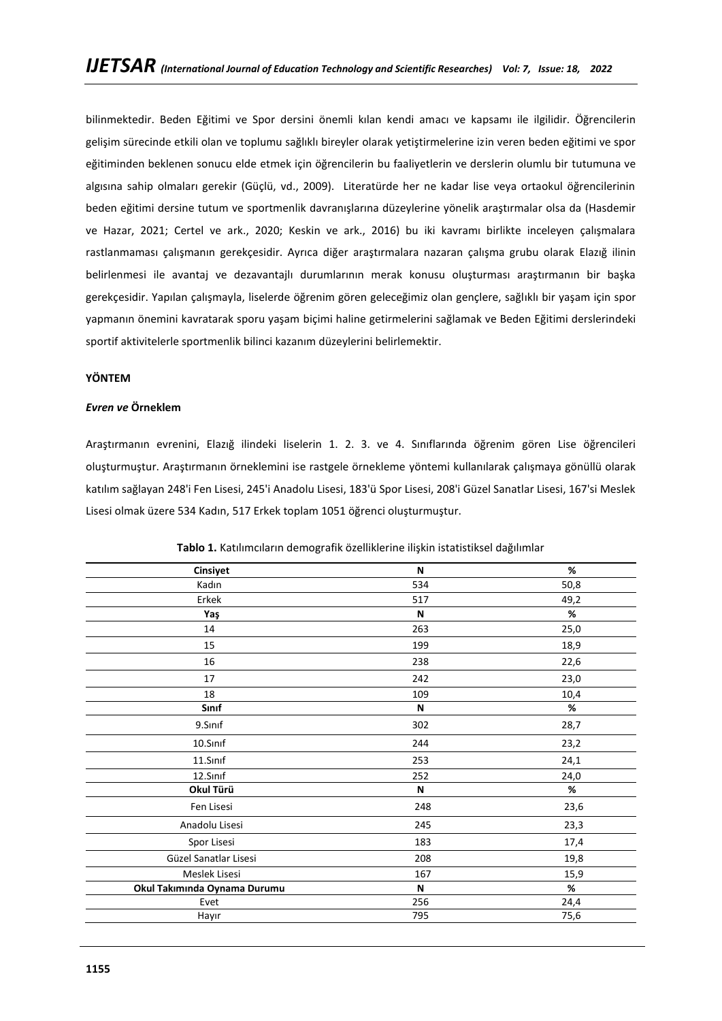bilinmektedir. Beden Eğitimi ve Spor dersini önemli kılan kendi amacı ve kapsamı ile ilgilidir. Öğrencilerin gelişim sürecinde etkili olan ve toplumu sağlıklı bireyler olarak yetiştirmelerine izin veren beden eğitimi ve spor eğitiminden beklenen sonucu elde etmek için öğrencilerin bu faaliyetlerin ve derslerin olumlu bir tutumuna ve algısına sahip olmaları gerekir (Güçlü, vd., 2009). Literatürde her ne kadar lise veya ortaokul öğrencilerinin beden eğitimi dersine tutum ve sportmenlik davranışlarına düzeylerine yönelik araştırmalar olsa da (Hasdemir ve Hazar, 2021; Certel ve ark., 2020; Keskin ve ark., 2016) bu iki kavramı birlikte inceleyen çalışmalara rastlanmaması çalışmanın gerekçesidir. Ayrıca diğer araştırmalara nazaran çalışma grubu olarak Elazığ ilinin belirlenmesi ile avantaj ve dezavantajlı durumlarının merak konusu oluşturması araştırmanın bir başka gerekçesidir. Yapılan çalışmayla, liselerde öğrenim gören geleceğimiz olan gençlere, sağlıklı bir yaşam için spor yapmanın önemini kavratarak sporu yaşam biçimi haline getirmelerini sağlamak ve Beden Eğitimi derslerindeki sportif aktivitelerle sportmenlik bilinci kazanım düzeylerini belirlemektir.

## **YÖNTEM**

## *Evren ve* **Örneklem**

Araştırmanın evrenini, Elazığ ilindeki liselerin 1. 2. 3. ve 4. Sınıflarında öğrenim gören Lise öğrencileri oluşturmuştur. Araştırmanın örneklemini ise rastgele örnekleme yöntemi kullanılarak çalışmaya gönüllü olarak katılım sağlayan 248'i Fen Lisesi, 245'i Anadolu Lisesi, 183'ü Spor Lisesi, 208'i Güzel Sanatlar Lisesi, 167'si Meslek Lisesi olmak üzere 534 Kadın, 517 Erkek toplam 1051 öğrenci oluşturmuştur.

| Cinsiyet                     | N   | %    |
|------------------------------|-----|------|
| Kadın                        | 534 | 50,8 |
| Erkek                        | 517 | 49,2 |
| Yaş                          | N   | %    |
| 14                           | 263 | 25,0 |
| 15                           | 199 | 18,9 |
| 16                           | 238 | 22,6 |
| 17                           | 242 | 23,0 |
| 18                           | 109 | 10,4 |
| Sınıf                        | N   | $\%$ |
| 9.Sinif                      | 302 | 28,7 |
| 10.Sinif                     | 244 | 23,2 |
| 11.Sinif                     | 253 | 24,1 |
| 12.Sinif                     | 252 | 24,0 |
| Okul Türü                    | N   | $\%$ |
| Fen Lisesi                   | 248 | 23,6 |
| Anadolu Lisesi               | 245 | 23,3 |
| Spor Lisesi                  | 183 | 17,4 |
| Güzel Sanatlar Lisesi        | 208 | 19,8 |
| Meslek Lisesi                | 167 | 15,9 |
| Okul Takımında Oynama Durumu | N   | $\%$ |
| Evet                         | 256 | 24,4 |
| Hayır                        | 795 | 75,6 |
|                              |     |      |

**Tablo 1.** Katılımcıların demografik özelliklerine ilişkin istatistiksel dağılımlar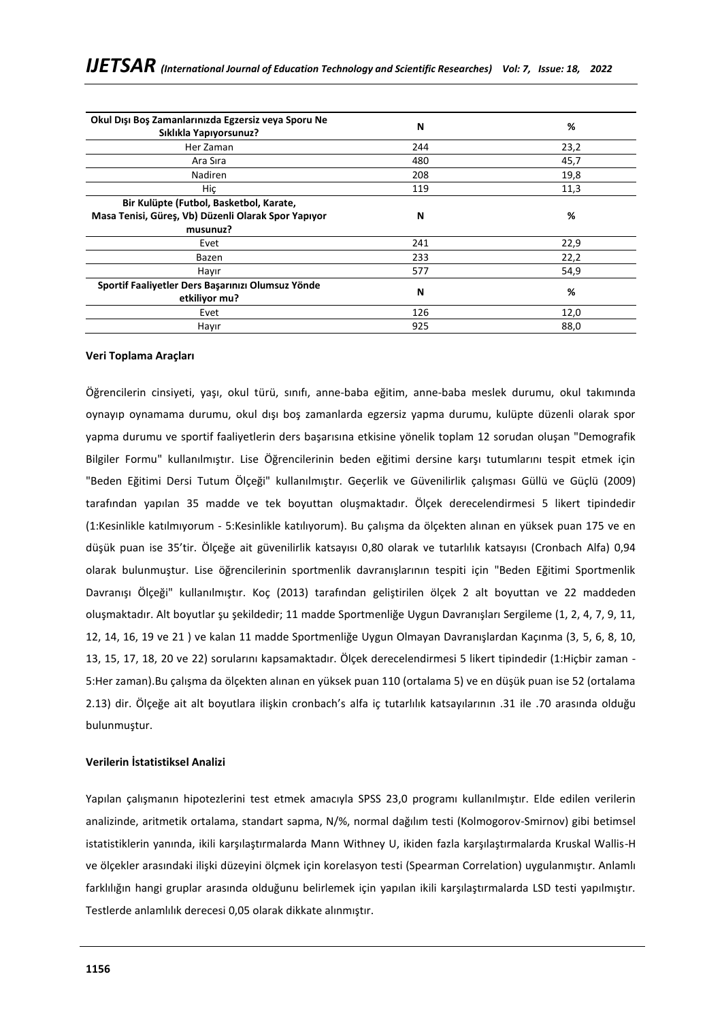| Okul Dışı Boş Zamanlarınızda Egzersiz veya Sporu Ne<br>Sıklıkla Yapıyorsunuz? | N   | %    |
|-------------------------------------------------------------------------------|-----|------|
| Her Zaman                                                                     | 244 | 23,2 |
| Ara Sira                                                                      | 480 | 45,7 |
| Nadiren                                                                       | 208 | 19,8 |
| Hiç                                                                           | 119 | 11,3 |
| Bir Kulüpte (Futbol, Basketbol, Karate,                                       |     |      |
| Masa Tenisi, Güreş, Vb) Düzenli Olarak Spor Yapıyor                           | N   | %    |
| musunuz?                                                                      |     |      |
| Evet                                                                          | 241 | 22,9 |
| Bazen                                                                         | 233 | 22,2 |
| Hayır                                                                         | 577 | 54,9 |
| Sportif Faaliyetler Ders Başarınızı Olumsuz Yönde<br>etkiliyor mu?            | N   | %    |
| Evet                                                                          | 126 | 12,0 |
| Hayır                                                                         | 925 | 88,0 |

### **Veri Toplama Araçları**

Öğrencilerin cinsiyeti, yaşı, okul türü, sınıfı, anne-baba eğitim, anne-baba meslek durumu, okul takımında oynayıp oynamama durumu, okul dışı boş zamanlarda egzersiz yapma durumu, kulüpte düzenli olarak spor yapma durumu ve sportif faaliyetlerin ders başarısına etkisine yönelik toplam 12 sorudan oluşan "Demografik Bilgiler Formu" kullanılmıştır. Lise Öğrencilerinin beden eğitimi dersine karşı tutumlarını tespit etmek için "Beden Eğitimi Dersi Tutum Ölçeği" kullanılmıştır. Geçerlik ve Güvenilirlik çalışması Güllü ve Güçlü (2009) tarafından yapılan 35 madde ve tek boyuttan oluşmaktadır. Ölçek derecelendirmesi 5 likert tipindedir (1:Kesinlikle katılmıyorum - 5:Kesinlikle katılıyorum). Bu çalışma da ölçekten alınan en yüksek puan 175 ve en düşük puan ise 35'tir. Ölçeğe ait güvenilirlik katsayısı 0,80 olarak ve tutarlılık katsayısı (Cronbach Alfa) 0,94 olarak bulunmuştur. Lise öğrencilerinin sportmenlik davranışlarının tespiti için "Beden Eğitimi Sportmenlik Davranışı Ölçeği" kullanılmıştır. Koç (2013) tarafından geliştirilen ölçek 2 alt boyuttan ve 22 maddeden oluşmaktadır. Alt boyutlar şu şekildedir; 11 madde Sportmenliğe Uygun Davranışları Sergileme (1, 2, 4, 7, 9, 11, 12, 14, 16, 19 ve 21 ) ve kalan 11 madde Sportmenliğe Uygun Olmayan Davranışlardan Kaçınma (3, 5, 6, 8, 10, 13, 15, 17, 18, 20 ve 22) sorularını kapsamaktadır. Ölçek derecelendirmesi 5 likert tipindedir (1:Hiçbir zaman - 5:Her zaman).Bu çalışma da ölçekten alınan en yüksek puan 110 (ortalama 5) ve en düşük puan ise 52 (ortalama 2.13) dir. Ölçeğe ait alt boyutlara ilişkin cronbach's alfa iç tutarlılık katsayılarının .31 ile .70 arasında olduğu bulunmuştur.

## **Verilerin İstatistiksel Analizi**

Yapılan çalışmanın hipotezlerini test etmek amacıyla SPSS 23,0 programı kullanılmıştır. Elde edilen verilerin analizinde, aritmetik ortalama, standart sapma, N/%, normal dağılım testi (Kolmogorov-Smirnov) gibi betimsel istatistiklerin yanında, ikili karşılaştırmalarda Mann Withney U, ikiden fazla karşılaştırmalarda Kruskal Wallis-H ve ölçekler arasındaki ilişki düzeyini ölçmek için korelasyon testi (Spearman Correlation) uygulanmıştır. Anlamlı farklılığın hangi gruplar arasında olduğunu belirlemek için yapılan ikili karşılaştırmalarda LSD testi yapılmıştır. Testlerde anlamlılık derecesi 0,05 olarak dikkate alınmıştır.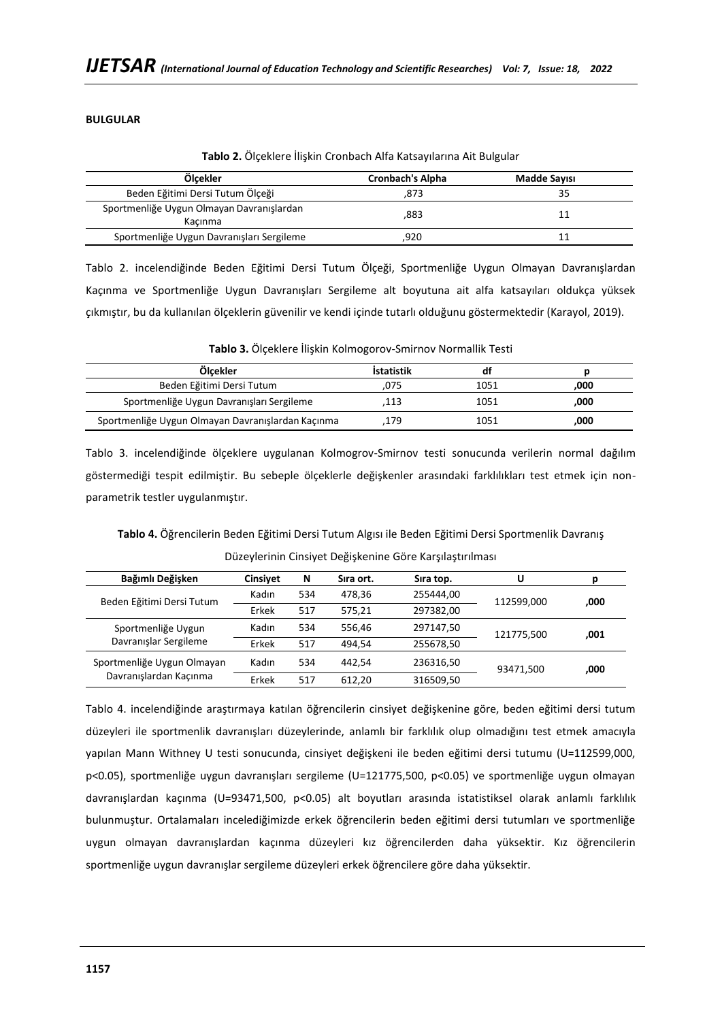## **BULGULAR**

| Ölcekler                                             | Cronbach's Alpha | <b>Madde Sayısı</b> |
|------------------------------------------------------|------------------|---------------------|
| Beden Eğitimi Dersi Tutum Ölçeği                     | .873             |                     |
| Sportmenliğe Uygun Olmayan Davranışlardan<br>Kacınma | ,883             |                     |
| Sportmenliğe Uygun Davranışları Sergileme            | .920             |                     |

Tablo 2. incelendiğinde Beden Eğitimi Dersi Tutum Ölçeği, Sportmenliğe Uygun Olmayan Davranışlardan Kaçınma ve Sportmenliğe Uygun Davranışları Sergileme alt boyutuna ait alfa katsayıları oldukça yüksek çıkmıştır, bu da kullanılan ölçeklerin güvenilir ve kendi içinde tutarlı olduğunu göstermektedir (Karayol, 2019).

| Tablo 3. Ölçeklere İlişkin Kolmogorov-Smirnov Normallik Testi |  |  |
|---------------------------------------------------------------|--|--|
|---------------------------------------------------------------|--|--|

| Ölcekler                                          | İstatistik |      |      |
|---------------------------------------------------|------------|------|------|
| Beden Eğitimi Dersi Tutum                         | 075        | 1051 | .000 |
| Sportmenliğe Uygun Davranışları Sergileme         | 113        | 1051 | .000 |
| Sportmenliğe Uygun Olmayan Davranışlardan Kaçınma | 179        | 1051 | .000 |

Tablo 3. incelendiğinde ölçeklere uygulanan Kolmogrov-Smirnov testi sonucunda verilerin normal dağılım göstermediği tespit edilmiştir. Bu sebeple ölçeklerle değişkenler arasındaki farklılıkları test etmek için nonparametrik testler uygulanmıştır.

**Tablo 4.** Öğrencilerin Beden Eğitimi Dersi Tutum Algısı ile Beden Eğitimi Dersi Sportmenlik Davranış Düzeylerinin Cinsiyet Değişkenine Göre Karşılaştırılması

| Bağımlı Değişken           | <b>Cinsivet</b> | N   | Sira ort. | Sira top. | U          |      |
|----------------------------|-----------------|-----|-----------|-----------|------------|------|
| Beden Eğitimi Dersi Tutum  | Kadın           | 534 | 478.36    | 255444,00 | 112599.000 | ,000 |
|                            | Erkek           | 517 | 575.21    | 297382,00 |            |      |
| Sportmenliğe Uygun         | Kadın           | 534 | 556.46    | 297147,50 | 121775,500 | ,001 |
| Davranışlar Sergileme      | Erkek           | 517 | 494.54    | 255678,50 |            |      |
| Sportmenliğe Uygun Olmayan | Kadın           | 534 | 442,54    | 236316,50 | 93471.500  | ,000 |
| Davranışlardan Kaçınma     | Erkek           | 517 | 612.20    | 316509,50 |            |      |

Tablo 4. incelendiğinde araştırmaya katılan öğrencilerin cinsiyet değişkenine göre, beden eğitimi dersi tutum düzeyleri ile sportmenlik davranışları düzeylerinde, anlamlı bir farklılık olup olmadığını test etmek amacıyla yapılan Mann Withney U testi sonucunda, cinsiyet değişkeni ile beden eğitimi dersi tutumu (U=112599,000, p<0.05), sportmenliğe uygun davranışları sergileme (U=121775,500, p<0.05) ve sportmenliğe uygun olmayan davranışlardan kaçınma (U=93471,500, p<0.05) alt boyutları arasında istatistiksel olarak anlamlı farklılık bulunmuştur. Ortalamaları incelediğimizde erkek öğrencilerin beden eğitimi dersi tutumları ve sportmenliğe uygun olmayan davranışlardan kaçınma düzeyleri kız öğrencilerden daha yüksektir. Kız öğrencilerin sportmenliğe uygun davranışlar sergileme düzeyleri erkek öğrencilere göre daha yüksektir.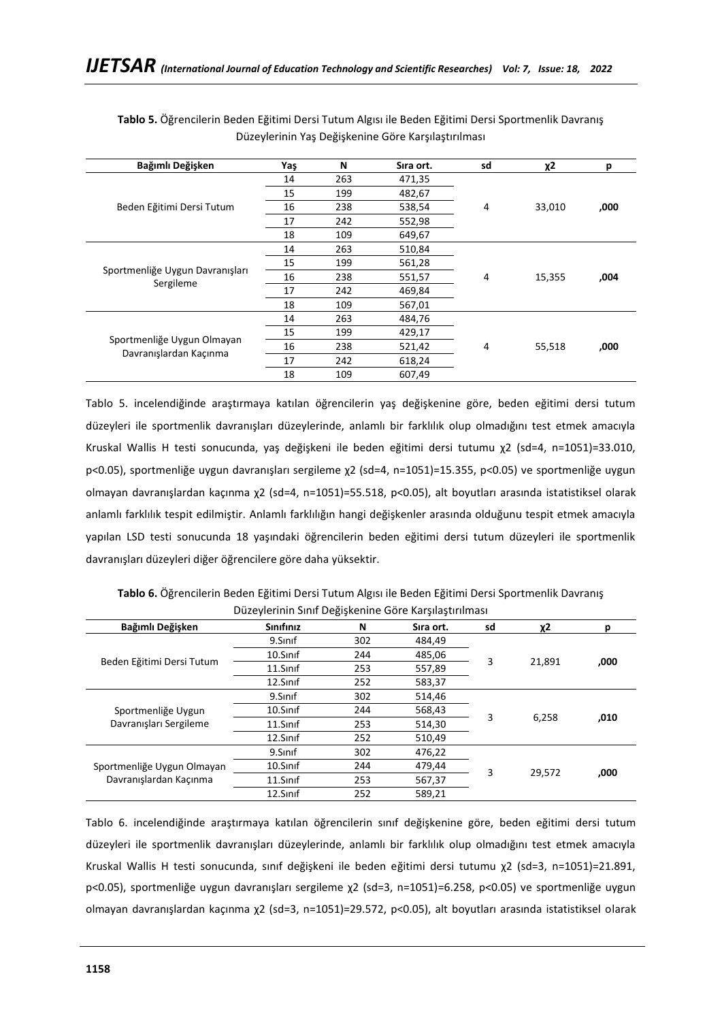| Bağımlı Değişken                             | Yaş | N   | Sira ort. | sd | χ2          | р    |
|----------------------------------------------|-----|-----|-----------|----|-------------|------|
|                                              | 14  | 263 | 471,35    |    |             |      |
|                                              | 15  | 199 | 482,67    |    |             |      |
| Beden Eğitimi Dersi Tutum                    | 16  | 238 | 538,54    | 4  | 33,010      | ,000 |
|                                              | 17  | 242 | 552,98    |    |             |      |
|                                              | 18  | 109 | 649,67    |    |             |      |
|                                              | 14  | 263 | 510,84    |    |             |      |
|                                              | 15  | 199 | 561,28    |    |             |      |
| Sportmenliğe Uygun Davranışları<br>Sergileme | 16  | 238 | 551,57    | 4  | 15,355      | ,004 |
|                                              | 17  | 242 | 469,84    |    |             |      |
|                                              | 18  | 109 | 567,01    |    |             |      |
|                                              | 14  | 263 | 484,76    |    |             |      |
|                                              | 15  | 199 | 429,17    |    | 4<br>55,518 | ,000 |
| Sportmenliğe Uygun Olmayan                   | 16  | 238 | 521,42    |    |             |      |
| Davranışlardan Kaçınma                       | 17  | 242 | 618,24    |    |             |      |
|                                              | 18  | 109 | 607,49    |    |             |      |

**Tablo 5.** Öğrencilerin Beden Eğitimi Dersi Tutum Algısı ile Beden Eğitimi Dersi Sportmenlik Davranış Düzeylerinin Yaş Değişkenine Göre Karşılaştırılması

Tablo 5. incelendiğinde araştırmaya katılan öğrencilerin yaş değişkenine göre, beden eğitimi dersi tutum düzeyleri ile sportmenlik davranışları düzeylerinde, anlamlı bir farklılık olup olmadığını test etmek amacıyla Kruskal Wallis H testi sonucunda, yaş değişkeni ile beden eğitimi dersi tutumu χ2 (sd=4, n=1051)=33.010, p<0.05), sportmenliğe uygun davranışları sergileme χ2 (sd=4, n=1051)=15.355, p<0.05) ve sportmenliğe uygun olmayan davranışlardan kaçınma χ2 (sd=4, n=1051)=55.518, p<0.05), alt boyutları arasında istatistiksel olarak anlamlı farklılık tespit edilmiştir. Anlamlı farklılığın hangi değişkenler arasında olduğunu tespit etmek amacıyla yapılan LSD testi sonucunda 18 yaşındaki öğrencilerin beden eğitimi dersi tutum düzeyleri ile sportmenlik davranışları düzeyleri diğer öğrencilere göre daha yüksektir.

| <b>Doğumlu Doğickan</b> | $C1$ $C2$ $C3$ $C4$ $C5$                                                                            | $C1$ $\sim$ $\sim$ $+$ |  |  |
|-------------------------|-----------------------------------------------------------------------------------------------------|------------------------|--|--|
|                         | Düzeylerinin Sınıf Değişkenine Göre Karşılaştırılması                                               |                        |  |  |
|                         | Tablo 6. Öğrencilerin Beden Eğitimi Dersi Tutum Algısı ile Beden Eğitimi Dersi Sportmenlik Davranış |                        |  |  |

| Bağımlı Değişken           | Sinifiniz | N   | Sira ort. | sd | $x^2$  | D    |
|----------------------------|-----------|-----|-----------|----|--------|------|
|                            | 9.Sinif   | 302 | 484.49    |    | 21,891 |      |
|                            | 10.Sinif  | 244 | 485,06    | 3  |        |      |
| Beden Eğitimi Dersi Tutum  | 11.Sinif  | 253 | 557,89    |    |        | ,000 |
|                            | 12.Sinif  | 252 | 583,37    |    |        |      |
|                            | 9.Sinif   | 302 | 514,46    |    | 6.258  |      |
| Sportmenliğe Uygun         | 10.Sinif  | 244 | 568,43    | 3  |        | ,010 |
| Davranışları Sergileme     | 11.Sinif  | 253 | 514,30    |    |        |      |
|                            | 12.Sinif  | 252 | 510,49    |    |        |      |
|                            | 9.Sinif   | 302 | 476,22    |    |        |      |
| Sportmenliğe Uygun Olmayan | 10.Sinif  | 244 | 479,44    | 3  | 29,572 |      |
| Davranışlardan Kaçınma     | 11.Sinif  | 253 | 567,37    |    |        | ,000 |
|                            | 12.Sinif  | 252 | 589.21    |    |        |      |

Tablo 6. incelendiğinde araştırmaya katılan öğrencilerin sınıf değişkenine göre, beden eğitimi dersi tutum düzeyleri ile sportmenlik davranışları düzeylerinde, anlamlı bir farklılık olup olmadığını test etmek amacıyla Kruskal Wallis H testi sonucunda, sınıf değişkeni ile beden eğitimi dersi tutumu χ2 (sd=3, n=1051)=21.891, p<0.05), sportmenliğe uygun davranışları sergileme χ2 (sd=3, n=1051)=6.258, p<0.05) ve sportmenliğe uygun olmayan davranışlardan kaçınma χ2 (sd=3, n=1051)=29.572, p<0.05), alt boyutları arasında istatistiksel olarak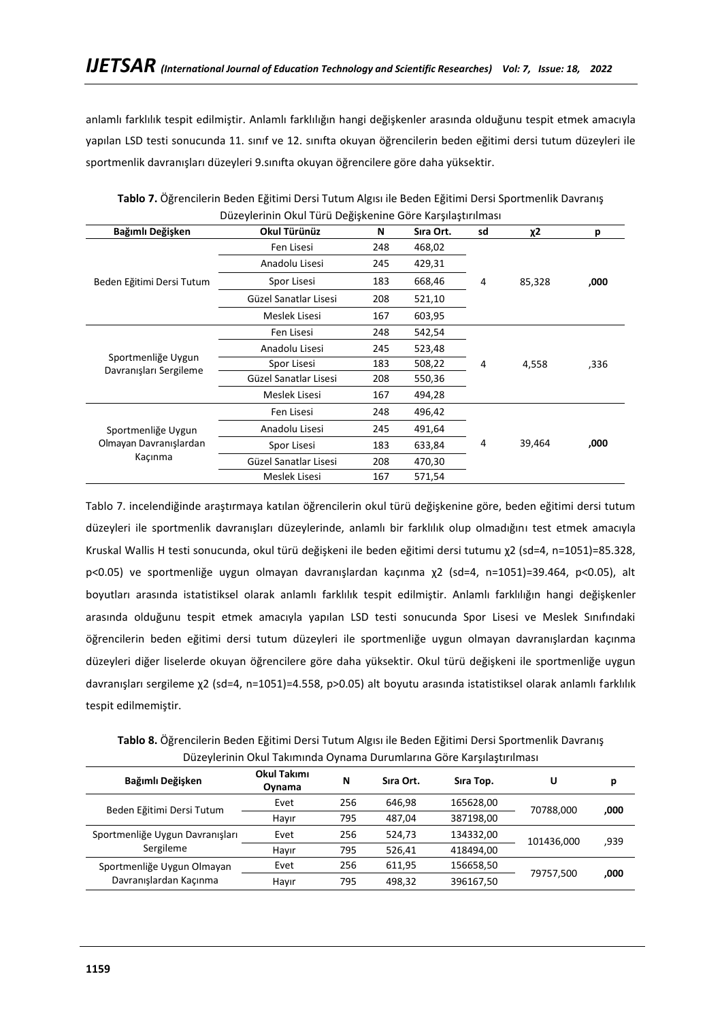anlamlı farklılık tespit edilmiştir. Anlamlı farklılığın hangi değişkenler arasında olduğunu tespit etmek amacıyla yapılan LSD testi sonucunda 11. sınıf ve 12. sınıfta okuyan öğrencilerin beden eğitimi dersi tutum düzeyleri ile sportmenlik davranışları düzeyleri 9.sınıfta okuyan öğrencilere göre daha yüksektir.

| Bağımlı Değişken                                        | Okul Türünüz          | N   | Sıra Ort. | sd | χ2     | р    |
|---------------------------------------------------------|-----------------------|-----|-----------|----|--------|------|
| Beden Eğitimi Dersi Tutum                               | Fen Lisesi            | 248 | 468,02    |    |        |      |
|                                                         | Anadolu Lisesi        | 245 | 429,31    |    |        |      |
|                                                         | Spor Lisesi           | 183 | 668,46    | 4  | 85,328 | ,000 |
|                                                         | Güzel Sanatlar Lisesi | 208 | 521,10    |    |        |      |
|                                                         | Meslek Lisesi         | 167 | 603,95    |    |        |      |
| Sportmenliğe Uygun<br>Davranışları Sergileme            | Fen Lisesi            | 248 | 542,54    |    |        |      |
|                                                         | Anadolu Lisesi        | 245 | 523,48    |    |        |      |
|                                                         | Spor Lisesi           | 183 | 508,22    | 4  | 4,558  | ,336 |
|                                                         | Güzel Sanatlar Lisesi | 208 | 550,36    |    |        |      |
|                                                         | Meslek Lisesi         | 167 | 494,28    |    |        |      |
| Sportmenliğe Uygun<br>Olmayan Davranışlardan<br>Kaçınma | Fen Lisesi            | 248 | 496,42    |    |        |      |
|                                                         | Anadolu Lisesi        | 245 | 491,64    |    |        |      |
|                                                         | Spor Lisesi           | 183 | 633,84    | 4  | 39,464 | ,000 |
|                                                         | Güzel Sanatlar Lisesi | 208 | 470,30    |    |        |      |
|                                                         | Meslek Lisesi         | 167 | 571,54    |    |        |      |

**Tablo 7.** Öğrencilerin Beden Eğitimi Dersi Tutum Algısı ile Beden Eğitimi Dersi Sportmenlik Davranış Düzeylerinin Okul Türü Değişkenine Göre Karşılaştırılması

Tablo 7. incelendiğinde araştırmaya katılan öğrencilerin okul türü değişkenine göre, beden eğitimi dersi tutum düzeyleri ile sportmenlik davranışları düzeylerinde, anlamlı bir farklılık olup olmadığını test etmek amacıyla Kruskal Wallis H testi sonucunda, okul türü değişkeni ile beden eğitimi dersi tutumu χ2 (sd=4, n=1051)=85.328, p<0.05) ve sportmenliğe uygun olmayan davranışlardan kaçınma χ2 (sd=4, n=1051)=39.464, p<0.05), alt boyutları arasında istatistiksel olarak anlamlı farklılık tespit edilmiştir. Anlamlı farklılığın hangi değişkenler arasında olduğunu tespit etmek amacıyla yapılan LSD testi sonucunda Spor Lisesi ve Meslek Sınıfındaki öğrencilerin beden eğitimi dersi tutum düzeyleri ile sportmenliğe uygun olmayan davranışlardan kaçınma düzeyleri diğer liselerde okuyan öğrencilere göre daha yüksektir. Okul türü değişkeni ile sportmenliğe uygun davranışları sergileme χ2 (sd=4, n=1051)=4.558, p>0.05) alt boyutu arasında istatistiksel olarak anlamlı farklılık tespit edilmemiştir.

**Tablo 8.** Öğrencilerin Beden Eğitimi Dersi Tutum Algısı ile Beden Eğitimi Dersi Sportmenlik Davranış Düzeylerinin Okul Takımında Oynama Durumlarına Göre Karşılaştırılması

| Bağımlı Değişken                | Okul Takımı<br>Oynama | N   | Sira Ort. | Sira Top. | U          | р    |
|---------------------------------|-----------------------|-----|-----------|-----------|------------|------|
| Beden Eğitimi Dersi Tutum       | Evet                  | 256 | 646.98    | 165628,00 | 70788.000  | ,000 |
|                                 | Hayır                 | 795 | 487.04    | 387198,00 |            |      |
| Sportmenliğe Uygun Davranışları | Evet                  | 256 | 524,73    | 134332,00 | 101436.000 | ,939 |
| Sergileme                       | Hayır                 | 795 | 526.41    | 418494,00 |            |      |
| Sportmenliğe Uygun Olmayan      | Evet                  | 256 | 611.95    | 156658,50 |            |      |
| Davranışlardan Kaçınma          | Hayır                 | 795 | 498.32    | 396167,50 | 79757,500  | ,000 |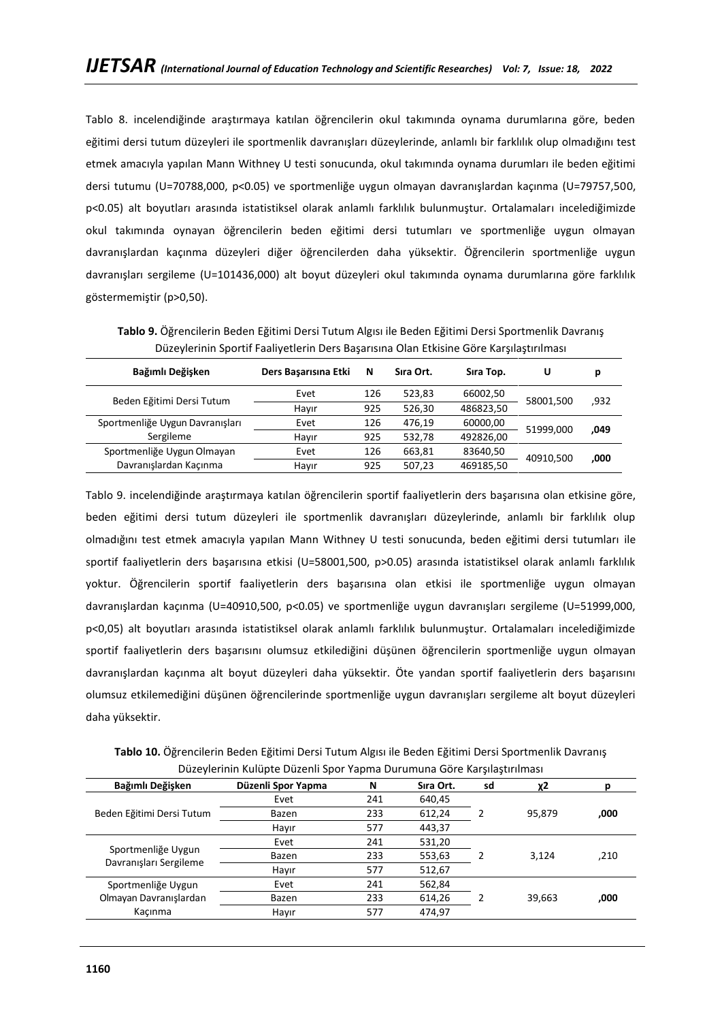Tablo 8. incelendiğinde araştırmaya katılan öğrencilerin okul takımında oynama durumlarına göre, beden eğitimi dersi tutum düzeyleri ile sportmenlik davranışları düzeylerinde, anlamlı bir farklılık olup olmadığını test etmek amacıyla yapılan Mann Withney U testi sonucunda, okul takımında oynama durumları ile beden eğitimi dersi tutumu (U=70788,000, p<0.05) ve sportmenliğe uygun olmayan davranışlardan kaçınma (U=79757,500, p<0.05) alt boyutları arasında istatistiksel olarak anlamlı farklılık bulunmuştur. Ortalamaları incelediğimizde okul takımında oynayan öğrencilerin beden eğitimi dersi tutumları ve sportmenliğe uygun olmayan davranışlardan kaçınma düzeyleri diğer öğrencilerden daha yüksektir. Öğrencilerin sportmenliğe uygun davranışları sergileme (U=101436,000) alt boyut düzeyleri okul takımında oynama durumlarına göre farklılık göstermemiştir (p>0,50).

| Pacefielding operation and percent bets bayanshia oran Eamonic Oore naryinayaring |                      |     |           |           |           |      |
|-----------------------------------------------------------------------------------|----------------------|-----|-----------|-----------|-----------|------|
| Bağımlı Değişken                                                                  | Ders Başarısına Etki | N   | Sıra Ort. | Sira Top. | υ         | р    |
| Beden Eğitimi Dersi Tutum                                                         | Evet                 | 126 | 523,83    | 66002,50  | 58001,500 | ,932 |
|                                                                                   | Hayır                | 925 | 526,30    | 486823,50 |           |      |
| Sportmenliğe Uygun Davranışları                                                   | Evet                 | 126 | 476,19    | 60000,00  | 51999,000 |      |
| Sergileme                                                                         | Hayır                | 925 | 532,78    | 492826,00 |           | ,049 |
| Sportmenliğe Uygun Olmayan                                                        | Evet                 | 126 | 663,81    | 83640,50  | 40910.500 | ,000 |
| Davranışlardan Kaçınma                                                            | Hayır                | 925 | 507.23    | 469185,50 |           |      |

**Tablo 9.** Öğrencilerin Beden Eğitimi Dersi Tutum Algısı ile Beden Eğitimi Dersi Sportmenlik Davranış Düzeylerinin Sportif Faaliyetlerin Ders Başarısına Olan Etkisine Göre Karşılaştırılması

Tablo 9. incelendiğinde araştırmaya katılan öğrencilerin sportif faaliyetlerin ders başarısına olan etkisine göre, beden eğitimi dersi tutum düzeyleri ile sportmenlik davranışları düzeylerinde, anlamlı bir farklılık olup olmadığını test etmek amacıyla yapılan Mann Withney U testi sonucunda, beden eğitimi dersi tutumları ile sportif faaliyetlerin ders başarısına etkisi (U=58001,500, p>0.05) arasında istatistiksel olarak anlamlı farklılık yoktur. Öğrencilerin sportif faaliyetlerin ders başarısına olan etkisi ile sportmenliğe uygun olmayan davranışlardan kaçınma (U=40910,500, p<0.05) ve sportmenliğe uygun davranışları sergileme (U=51999,000, p<0,05) alt boyutları arasında istatistiksel olarak anlamlı farklılık bulunmuştur. Ortalamaları incelediğimizde sportif faaliyetlerin ders başarısını olumsuz etkilediğini düşünen öğrencilerin sportmenliğe uygun olmayan davranışlardan kaçınma alt boyut düzeyleri daha yüksektir. Öte yandan sportif faaliyetlerin ders başarısını olumsuz etkilemediğini düşünen öğrencilerinde sportmenliğe uygun davranışları sergileme alt boyut düzeyleri daha yüksektir.

**Tablo 10.** Öğrencilerin Beden Eğitimi Dersi Tutum Algısı ile Beden Eğitimi Dersi Sportmenlik Davranış Düzeylerinin Kulüpte Düzenli Spor Yapma Durumuna Göre Karşılaştırılması

| Bağımlı Değişken                             | Düzenli Spor Yapma | N   | Sira Ort. | sd | χ2     |      |
|----------------------------------------------|--------------------|-----|-----------|----|--------|------|
| Beden Eğitimi Dersi Tutum                    | Evet               | 241 | 640,45    |    |        |      |
|                                              | Bazen              | 233 | 612,24    |    | 95,879 | ,000 |
|                                              | Hayır              | 577 | 443,37    |    |        |      |
| Sportmenliğe Uygun<br>Davranışları Sergileme | Evet               | 241 | 531,20    |    |        |      |
|                                              | Bazen              | 233 | 553,63    |    | 3,124  | ,210 |
|                                              | Hayır              | 577 | 512,67    |    |        |      |
| Sportmenliğe Uygun                           | Evet               | 241 | 562,84    |    |        |      |
| Olmayan Davranışlardan                       | Bazen              | 233 | 614,26    |    | 39,663 | ,000 |
| Kacınma                                      | Hayır              | 577 | 474,97    |    |        |      |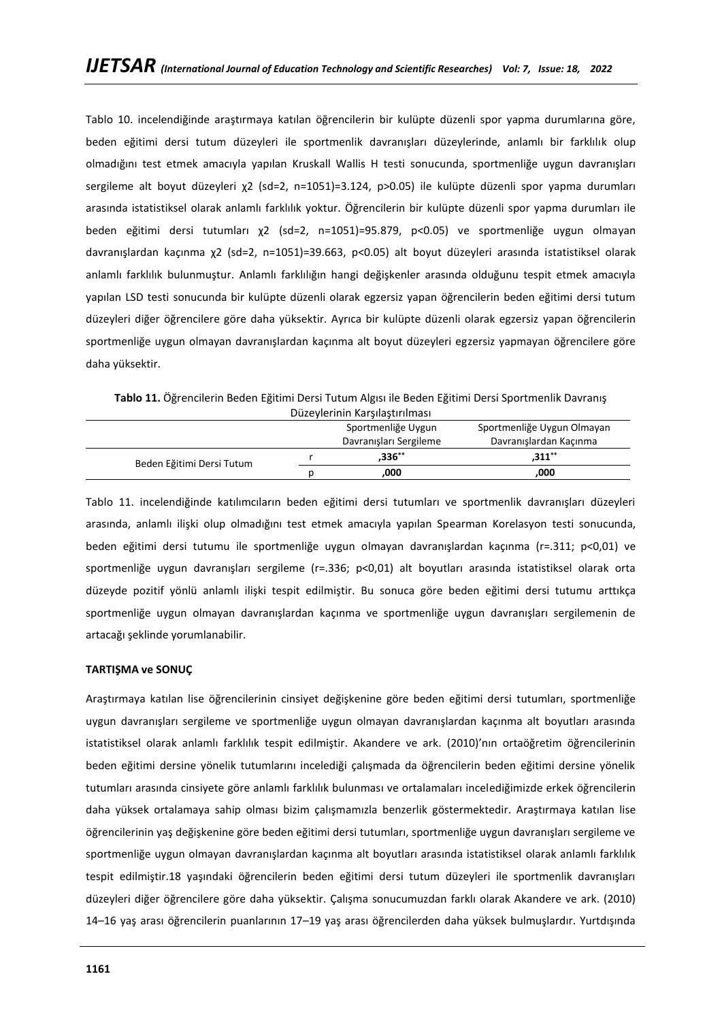Tablo 10. incelendiğinde araştırmaya katılan öğrencilerin bir kulüpte düzenli spor yapma durumlarına göre, beden eğitimi dersi tutum düzeyleri ile sportmenlik davranışları düzeylerinde, anlamlı bir farklılık olup olmadığını test etmek amacıyla yapılan Kruskall Wallis H testi sonucunda, sportmenliğe uygun davranışları sergileme alt boyut düzeyleri χ2 (sd=2, n=1051)=3.124, p>0.05) ile kulüpte düzenli spor yapma durumları arasında istatistiksel olarak anlamlı farklılık yoktur. Öğrencilerin bir kulüpte düzenli spor yapma durumları ile beden eğitimi dersi tutumları χ2 (sd=2, n=1051)=95.879, p<0.05) ve sportmenliğe uygun olmayan davranışlardan kaçınma χ2 (sd=2, n=1051)=39.663, p<0.05) alt boyut düzeyleri arasında istatistiksel olarak anlamlı farklılık bulunmuştur. Anlamlı farklılığın hangi değişkenler arasında olduğunu tespit etmek amacıyla yapılan LSD testi sonucunda bir kulüpte düzenli olarak egzersiz yapan öğrencilerin beden eğitimi dersi tutum düzeyleri diğer öğrencilere göre daha yüksektir. Ayrıca bir kulüpte düzenli olarak egzersiz yapan öğrencilerin sportmenliğe uygun olmayan davranışlardan kaçınma alt boyut düzeyleri egzersiz yapmayan öğrencilere göre daha yüksektir.

**Tablo 11.** Öğrencilerin Beden Eğitimi Dersi Tutum Algısı ile Beden Eğitimi Dersi Sportmenlik Davranış Düzeylerinin Karşılaştırılması

| <b>PUZCYICHIIIII KULJIIUJLIIIIIIUJI</b> |                    |                        |                            |  |  |  |
|-----------------------------------------|--------------------|------------------------|----------------------------|--|--|--|
|                                         | Sportmenliğe Uygun |                        | Sportmenliğe Uygun Olmayan |  |  |  |
|                                         |                    | Davranışları Sergileme | Davranışlardan Kaçınma     |  |  |  |
| Beden Eğitimi Dersi Tutum               |                    | $.336***$              | $.311***$                  |  |  |  |
|                                         |                    | .000                   | .000                       |  |  |  |

Tablo 11. incelendiğinde katılımcıların beden eğitimi dersi tutumları ve sportmenlik davranışları düzeyleri arasında, anlamlı ilişki olup olmadığını test etmek amacıyla yapılan Spearman Korelasyon testi sonucunda, beden eğitimi dersi tutumu ile sportmenliğe uygun olmayan davranışlardan kaçınma (r=.311; p<0,01) ve sportmenliğe uygun davranışları sergileme (r=.336; p<0,01) alt boyutları arasında istatistiksel olarak orta düzeyde pozitif yönlü anlamlı ilişki tespit edilmiştir. Bu sonuca göre beden eğitimi dersi tutumu arttıkça sportmenliğe uygun olmayan davranışlardan kaçınma ve sportmenliğe uygun davranışları sergilemenin de artacağı şeklinde yorumlanabilir.

## **TARTIŞMA ve SONUÇ**

Araştırmaya katılan lise öğrencilerinin cinsiyet değişkenine göre beden eğitimi dersi tutumları, sportmenliğe uygun davranışları sergileme ve sportmenliğe uygun olmayan davranışlardan kaçınma alt boyutları arasında istatistiksel olarak anlamlı farklılık tespit edilmiştir. Akandere ve ark. (2010)'nın ortaöğretim öğrencilerinin beden eğitimi dersine yönelik tutumlarını incelediği çalışmada da öğrencilerin beden eğitimi dersine yönelik tutumları arasında cinsiyete göre anlamlı farklılık bulunması ve ortalamaları incelediğimizde erkek öğrencilerin daha yüksek ortalamaya sahip olması bizim çalışmamızla benzerlik göstermektedir. Araştırmaya katılan lise öğrencilerinin yaş değişkenine göre beden eğitimi dersi tutumları, sportmenliğe uygun davranışları sergileme ve sportmenliğe uygun olmayan davranışlardan kaçınma alt boyutları arasında istatistiksel olarak anlamlı farklılık tespit edilmiştir.18 yaşındaki öğrencilerin beden eğitimi dersi tutum düzeyleri ile sportmenlik davranışları düzeyleri diğer öğrencilere göre daha yüksektir. Çalışma sonucumuzdan farklı olarak Akandere ve ark. (2010) 14–16 yaş arası öğrencilerin puanlarının 17–19 yaş arası öğrencilerden daha yüksek bulmuşlardır. Yurtdışında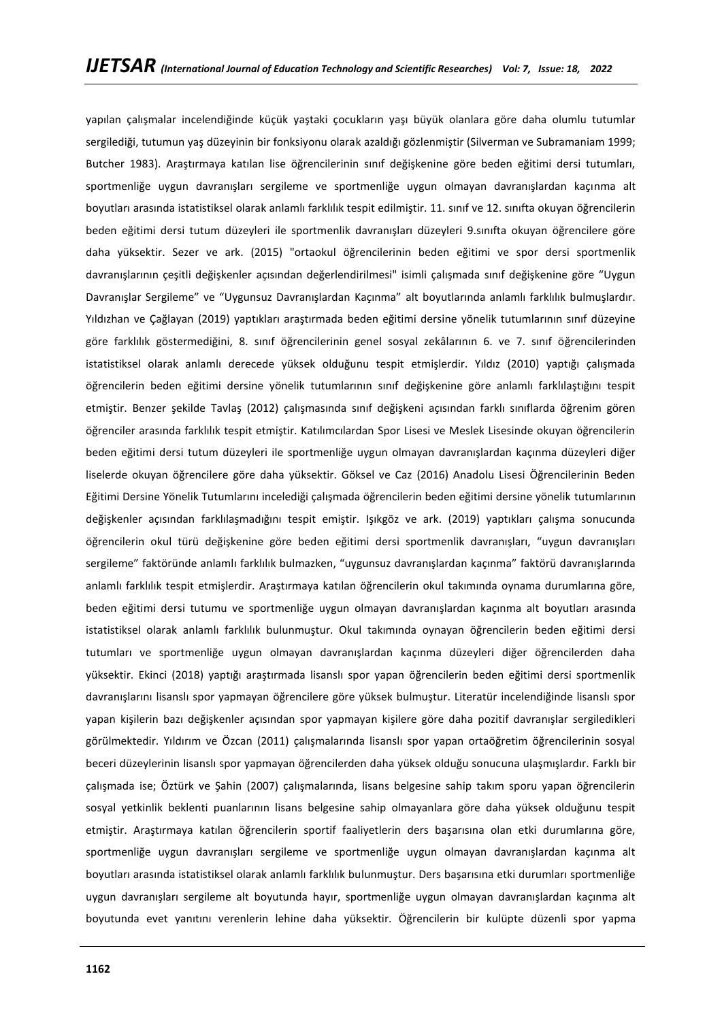yapılan çalışmalar incelendiğinde küçük yaştaki çocukların yaşı büyük olanlara göre daha olumlu tutumlar sergilediği, tutumun yaş düzeyinin bir fonksiyonu olarak azaldığı gözlenmiştir (Silverman ve Subramaniam 1999; Butcher 1983). Araştırmaya katılan lise öğrencilerinin sınıf değişkenine göre beden eğitimi dersi tutumları, sportmenliğe uygun davranışları sergileme ve sportmenliğe uygun olmayan davranışlardan kaçınma alt boyutları arasında istatistiksel olarak anlamlı farklılık tespit edilmiştir. 11. sınıf ve 12. sınıfta okuyan öğrencilerin beden eğitimi dersi tutum düzeyleri ile sportmenlik davranışları düzeyleri 9.sınıfta okuyan öğrencilere göre daha yüksektir. Sezer ve ark. (2015) "ortaokul öğrencilerinin beden eğitimi ve spor dersi sportmenlik davranışlarının çeşitli değişkenler açısından değerlendirilmesi" isimli çalışmada sınıf değişkenine göre "Uygun Davranışlar Sergileme" ve "Uygunsuz Davranışlardan Kaçınma" alt boyutlarında anlamlı farklılık bulmuşlardır. Yıldızhan ve Çağlayan (2019) yaptıkları araştırmada beden eğitimi dersine yönelik tutumlarının sınıf düzeyine göre farklılık göstermediğini, 8. sınıf öğrencilerinin genel sosyal zekâlarının 6. ve 7. sınıf öğrencilerinden istatistiksel olarak anlamlı derecede yüksek olduğunu tespit etmişlerdir. Yıldız (2010) yaptığı çalışmada öğrencilerin beden eğitimi dersine yönelik tutumlarının sınıf değişkenine göre anlamlı farklılaştığını tespit etmiştir. Benzer şekilde Tavlaş (2012) çalışmasında sınıf değişkeni açısından farklı sınıflarda öğrenim gören öğrenciler arasında farklılık tespit etmiştir. Katılımcılardan Spor Lisesi ve Meslek Lisesinde okuyan öğrencilerin beden eğitimi dersi tutum düzeyleri ile sportmenliğe uygun olmayan davranışlardan kaçınma düzeyleri diğer liselerde okuyan öğrencilere göre daha yüksektir. Göksel ve Caz (2016) Anadolu Lisesi Öğrencilerinin Beden Eğitimi Dersine Yönelik Tutumlarını incelediği çalışmada öğrencilerin beden eğitimi dersine yönelik tutumlarının değişkenler açısından farklılaşmadığını tespit emiştir. Işıkgöz ve ark. (2019) yaptıkları çalışma sonucunda öğrencilerin okul türü değişkenine göre beden eğitimi dersi sportmenlik davranışları, "uygun davranışları sergileme" faktöründe anlamlı farklılık bulmazken, "uygunsuz davranışlardan kaçınma" faktörü davranışlarında anlamlı farklılık tespit etmişlerdir. Araştırmaya katılan öğrencilerin okul takımında oynama durumlarına göre, beden eğitimi dersi tutumu ve sportmenliğe uygun olmayan davranışlardan kaçınma alt boyutları arasında istatistiksel olarak anlamlı farklılık bulunmuştur. Okul takımında oynayan öğrencilerin beden eğitimi dersi tutumları ve sportmenliğe uygun olmayan davranışlardan kaçınma düzeyleri diğer öğrencilerden daha yüksektir. Ekinci (2018) yaptığı araştırmada lisanslı spor yapan öğrencilerin beden eğitimi dersi sportmenlik davranışlarını lisanslı spor yapmayan öğrencilere göre yüksek bulmuştur. Literatür incelendiğinde lisanslı spor yapan kişilerin bazı değişkenler açısından spor yapmayan kişilere göre daha pozitif davranışlar sergiledikleri görülmektedir. Yıldırım ve Özcan (2011) çalışmalarında lisanslı spor yapan ortaöğretim öğrencilerinin sosyal beceri düzeylerinin lisanslı spor yapmayan öğrencilerden daha yüksek olduğu sonucuna ulaşmışlardır. Farklı bir çalışmada ise; Öztürk ve Şahin (2007) çalışmalarında, lisans belgesine sahip takım sporu yapan öğrencilerin sosyal yetkinlik beklenti puanlarının lisans belgesine sahip olmayanlara göre daha yüksek olduğunu tespit etmiştir. Araştırmaya katılan öğrencilerin sportif faaliyetlerin ders başarısına olan etki durumlarına göre, sportmenliğe uygun davranışları sergileme ve sportmenliğe uygun olmayan davranışlardan kaçınma alt boyutları arasında istatistiksel olarak anlamlı farklılık bulunmuştur. Ders başarısına etki durumları sportmenliğe uygun davranışları sergileme alt boyutunda hayır, sportmenliğe uygun olmayan davranışlardan kaçınma alt boyutunda evet yanıtını verenlerin lehine daha yüksektir. Öğrencilerin bir kulüpte düzenli spor yapma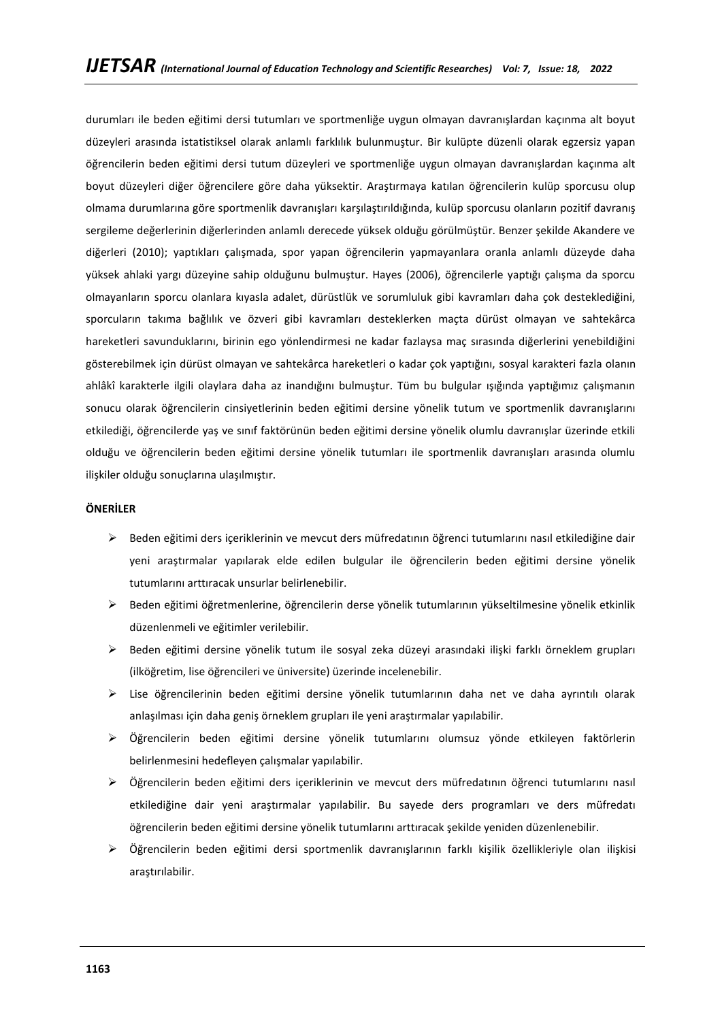durumları ile beden eğitimi dersi tutumları ve sportmenliğe uygun olmayan davranışlardan kaçınma alt boyut düzeyleri arasında istatistiksel olarak anlamlı farklılık bulunmuştur. Bir kulüpte düzenli olarak egzersiz yapan öğrencilerin beden eğitimi dersi tutum düzeyleri ve sportmenliğe uygun olmayan davranışlardan kaçınma alt boyut düzeyleri diğer öğrencilere göre daha yüksektir. Araştırmaya katılan öğrencilerin kulüp sporcusu olup olmama durumlarına göre sportmenlik davranışları karşılaştırıldığında, kulüp sporcusu olanların pozitif davranış sergileme değerlerinin diğerlerinden anlamlı derecede yüksek olduğu görülmüştür. Benzer şekilde Akandere ve diğerleri (2010); yaptıkları çalışmada, spor yapan öğrencilerin yapmayanlara oranla anlamlı düzeyde daha yüksek ahlaki yargı düzeyine sahip olduğunu bulmuştur. Hayes (2006), öğrencilerle yaptığı çalışma da sporcu olmayanların sporcu olanlara kıyasla adalet, dürüstlük ve sorumluluk gibi kavramları daha çok desteklediğini, sporcuların takıma bağlılık ve özveri gibi kavramları desteklerken maçta dürüst olmayan ve sahtekârca hareketleri savunduklarını, birinin ego yönlendirmesi ne kadar fazlaysa maç sırasında diğerlerini yenebildiğini gösterebilmek için dürüst olmayan ve sahtekârca hareketleri o kadar çok yaptığını, sosyal karakteri fazla olanın ahlâkî karakterle ilgili olaylara daha az inandığını bulmuştur. Tüm bu bulgular ışığında yaptığımız çalışmanın sonucu olarak öğrencilerin cinsiyetlerinin beden eğitimi dersine yönelik tutum ve sportmenlik davranışlarını etkilediği, öğrencilerde yaş ve sınıf faktörünün beden eğitimi dersine yönelik olumlu davranışlar üzerinde etkili olduğu ve öğrencilerin beden eğitimi dersine yönelik tutumları ile sportmenlik davranışları arasında olumlu ilişkiler olduğu sonuçlarına ulaşılmıştır.

## **ÖNERİLER**

- ➢ Beden eğitimi ders içeriklerinin ve mevcut ders müfredatının öğrenci tutumlarını nasıl etkilediğine dair yeni araştırmalar yapılarak elde edilen bulgular ile öğrencilerin beden eğitimi dersine yönelik tutumlarını arttıracak unsurlar belirlenebilir.
- ➢ Beden eğitimi öğretmenlerine, öğrencilerin derse yönelik tutumlarının yükseltilmesine yönelik etkinlik düzenlenmeli ve eğitimler verilebilir.
- ➢ Beden eğitimi dersine yönelik tutum ile sosyal zeka düzeyi arasındaki ilişki farklı örneklem grupları (ilköğretim, lise öğrencileri ve üniversite) üzerinde incelenebilir.
- ➢ Lise öğrencilerinin beden eğitimi dersine yönelik tutumlarının daha net ve daha ayrıntılı olarak anlaşılması için daha geniş örneklem grupları ile yeni araştırmalar yapılabilir.
- ➢ Öğrencilerin beden eğitimi dersine yönelik tutumlarını olumsuz yönde etkileyen faktörlerin belirlenmesini hedefleyen çalışmalar yapılabilir.
- ➢ Öğrencilerin beden eğitimi ders içeriklerinin ve mevcut ders müfredatının öğrenci tutumlarını nasıl etkilediğine dair yeni araştırmalar yapılabilir. Bu sayede ders programları ve ders müfredatı öğrencilerin beden eğitimi dersine yönelik tutumlarını arttıracak şekilde yeniden düzenlenebilir.
- ➢ Öğrencilerin beden eğitimi dersi sportmenlik davranışlarının farklı kişilik özellikleriyle olan ilişkisi araştırılabilir.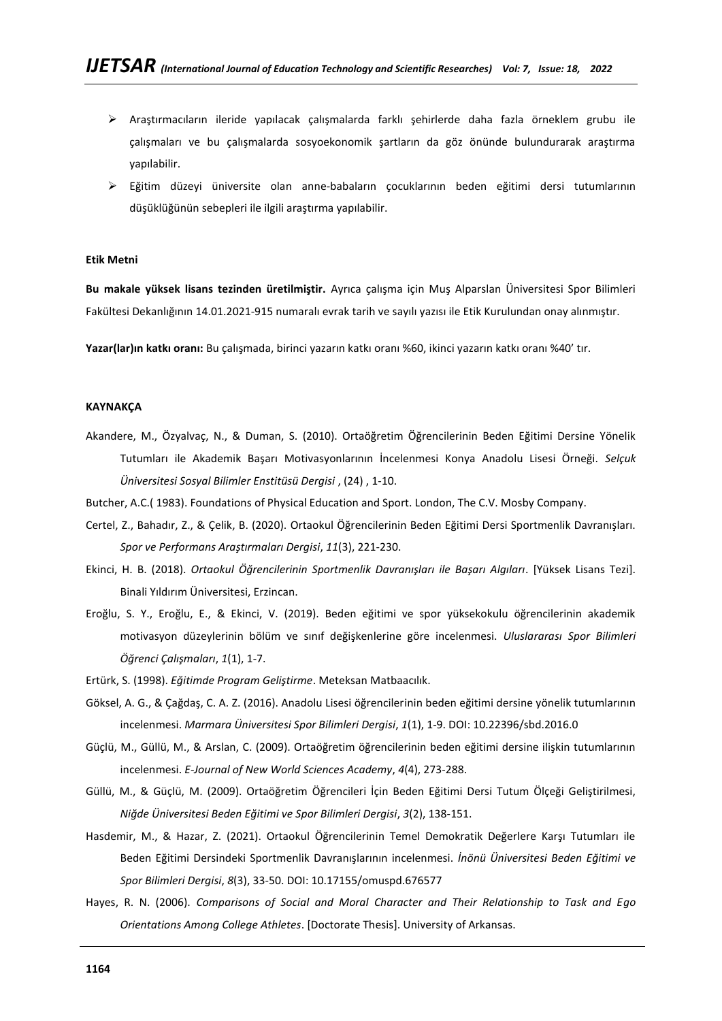- ➢ Araştırmacıların ileride yapılacak çalışmalarda farklı şehirlerde daha fazla örneklem grubu ile çalışmaları ve bu çalışmalarda sosyoekonomik şartların da göz önünde bulundurarak araştırma yapılabilir.
- ➢ Eğitim düzeyi üniversite olan anne-babaların çocuklarının beden eğitimi dersi tutumlarının düşüklüğünün sebepleri ile ilgili araştırma yapılabilir.

## **Etik Metni**

**Bu makale yüksek lisans tezinden üretilmiştir.** Ayrıca çalışma için Muş Alparslan Üniversitesi Spor Bilimleri Fakültesi Dekanlığının 14.01.2021-915 numaralı evrak tarih ve sayılı yazısı ile Etik Kurulundan onay alınmıştır.

**Yazar(lar)ın katkı oranı:** Bu çalışmada, birinci yazarın katkı oranı %60, ikinci yazarın katkı oranı %40' tır.

### **KAYNAKÇA**

- Akandere, M., Özyalvaç, N., & Duman, S. (2010). Ortaöğretim Öğrencilerinin Beden Eğitimi Dersine Yönelik Tutumları ile Akademik Başarı Motivasyonlarının İncelenmesi Konya Anadolu Lisesi Örneği. *Selçuk Üniversitesi Sosyal Bilimler Enstitüsü Dergisi* , (24) , 1-10.
- Butcher, A.C.( 1983). Foundations of Physical Education and Sport. London, The C.V. Mosby Company.
- Certel, Z., Bahadır, Z., & Çelik, B. (2020). Ortaokul Öğrencilerinin Beden Eğitimi Dersi Sportmenlik Davranışları. *Spor ve Performans Araştırmaları Dergisi*, *11*(3), 221-230.
- Ekinci, H. B. (2018). *Ortaokul Öğrencilerinin Sportmenlik Davranışları ile Başarı Algıları*. [Yüksek Lisans Tezi]. Binali Yıldırım Üniversitesi, Erzincan.
- Eroğlu, S. Y., Eroğlu, E., & Ekinci, V. (2019). Beden eğitimi ve spor yüksekokulu öğrencilerinin akademik motivasyon düzeylerinin bölüm ve sınıf değişkenlerine göre incelenmesi. *Uluslararası Spor Bilimleri Öğrenci Çalışmaları*, *1*(1), 1-7.
- Ertürk, S. (1998). *Eğitimde Program Geliştirme*. Meteksan Matbaacılık.
- Göksel, A. G., & Çağdaş, C. A. Z. (2016). Anadolu Lisesi öğrencilerinin beden eğitimi dersine yönelik tutumlarının incelenmesi. *Marmara Üniversitesi Spor Bilimleri Dergisi*, *1*(1), 1-9. DOI: 10.22396/sbd.2016.0
- Güçlü, M., Güllü, M., & Arslan, C. (2009). Ortaöğretim öğrencilerinin beden eğitimi dersine ilişkin tutumlarının incelenmesi. *E-Journal of New World Sciences Academy*, *4*(4), 273-288.
- Güllü, M., & Güçlü, M. (2009). Ortaöğretim Öğrencileri İçin Beden Eğitimi Dersi Tutum Ölçeği Geliştirilmesi, *Niğde Üniversitesi Beden Eğitimi ve Spor Bilimleri Dergisi*, *3*(2), 138-151.
- Hasdemir, M., & Hazar, Z. (2021). Ortaokul Öğrencilerinin Temel Demokratik Değerlere Karşı Tutumları ile Beden Eğitimi Dersindeki Sportmenlik Davranışlarının incelenmesi. *İnönü Üniversitesi Beden Eğitimi ve Spor Bilimleri Dergisi*, *8*(3), 33-50. DOI: 10.17155/omuspd.676577
- Hayes, R. N. (2006). *Comparisons of Social and Moral Character and Their Relationship to Task and Ego Orientations Among College Athletes*. [Doctorate Thesis]. University of Arkansas.